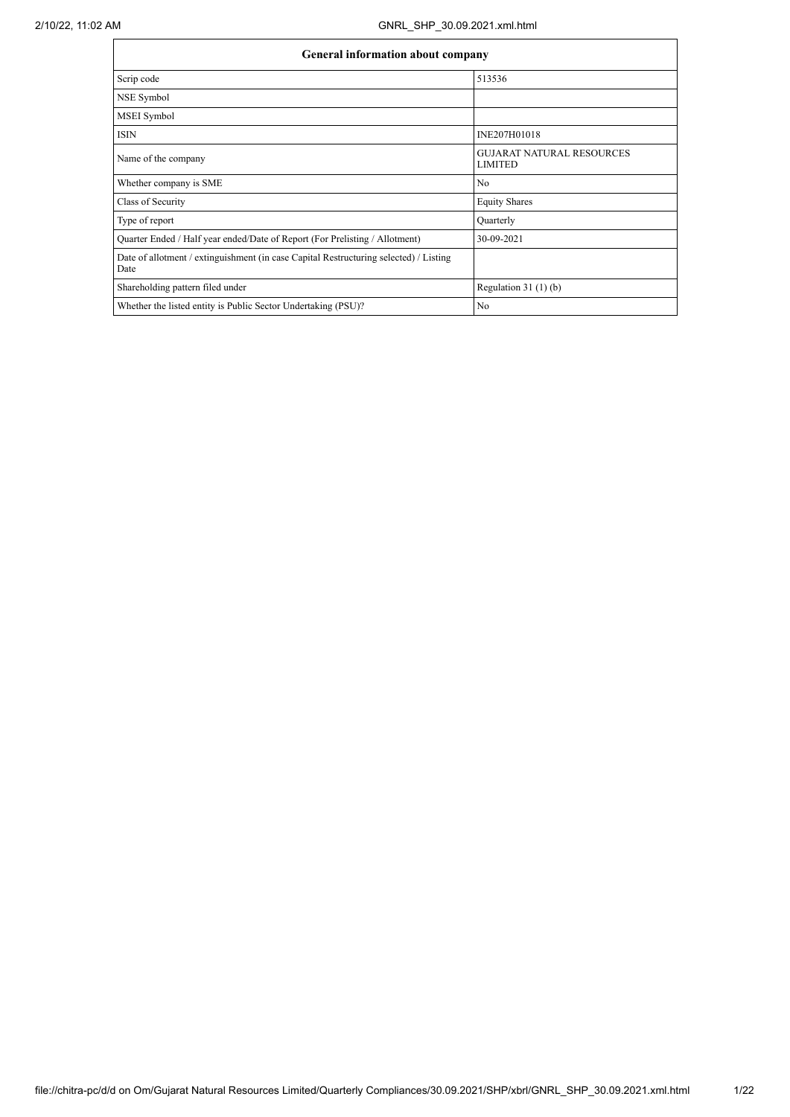| <b>General information about company</b>                                                      |                                                    |  |  |  |  |
|-----------------------------------------------------------------------------------------------|----------------------------------------------------|--|--|--|--|
| Scrip code                                                                                    | 513536                                             |  |  |  |  |
| NSE Symbol                                                                                    |                                                    |  |  |  |  |
| <b>MSEI</b> Symbol                                                                            |                                                    |  |  |  |  |
| <b>ISIN</b>                                                                                   | INE207H01018                                       |  |  |  |  |
| Name of the company                                                                           | <b>GUJARAT NATURAL RESOURCES</b><br><b>LIMITED</b> |  |  |  |  |
| Whether company is SME                                                                        | N <sub>0</sub>                                     |  |  |  |  |
| Class of Security                                                                             | <b>Equity Shares</b>                               |  |  |  |  |
| Type of report                                                                                | Quarterly                                          |  |  |  |  |
| Quarter Ended / Half year ended/Date of Report (For Prelisting / Allotment)                   | 30-09-2021                                         |  |  |  |  |
| Date of allotment / extinguishment (in case Capital Restructuring selected) / Listing<br>Date |                                                    |  |  |  |  |
| Shareholding pattern filed under                                                              | Regulation $31(1)(b)$                              |  |  |  |  |
| Whether the listed entity is Public Sector Undertaking (PSU)?                                 | N <sub>0</sub>                                     |  |  |  |  |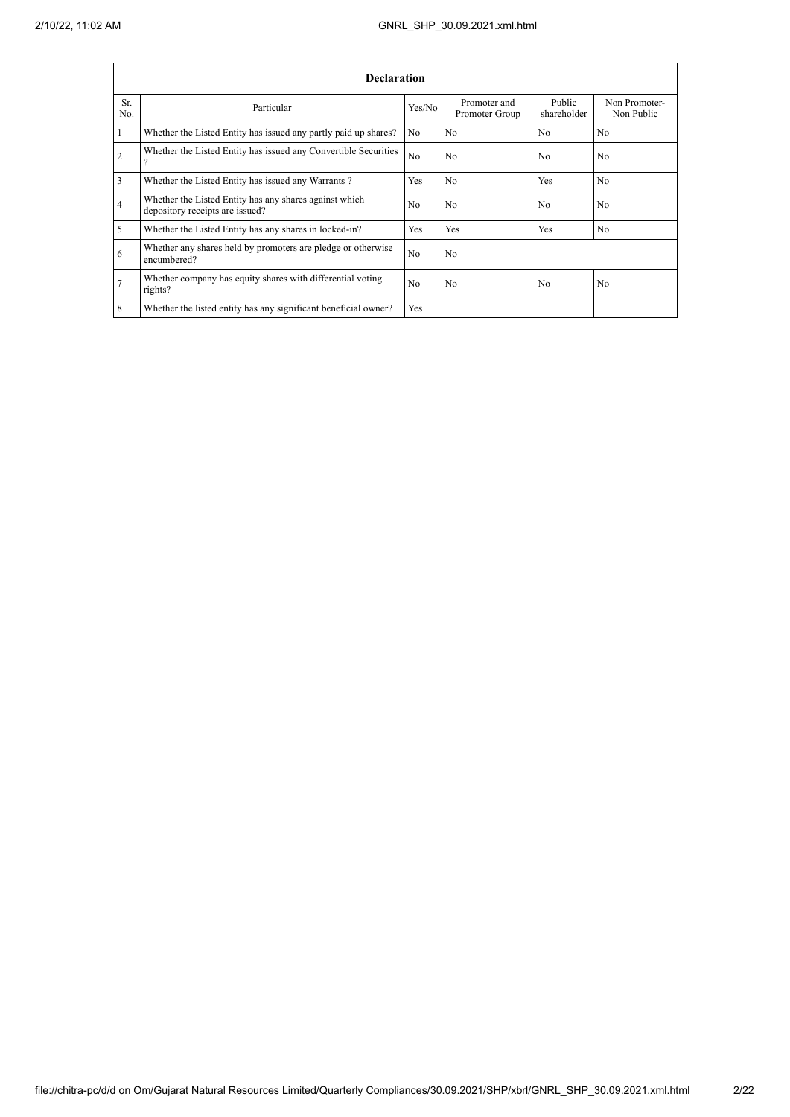|            | <b>Declaration</b>                                                                        |                |                                |                       |                             |  |  |  |
|------------|-------------------------------------------------------------------------------------------|----------------|--------------------------------|-----------------------|-----------------------------|--|--|--|
| Sr.<br>No. | Particular                                                                                | Yes/No         | Promoter and<br>Promoter Group | Public<br>shareholder | Non Promoter-<br>Non Public |  |  |  |
|            | Whether the Listed Entity has issued any partly paid up shares?                           | No.            | N <sub>0</sub>                 | N <sub>0</sub>        | N <sub>0</sub>              |  |  |  |
| 2          | Whether the Listed Entity has issued any Convertible Securities<br>റ                      | N <sub>0</sub> | N <sub>0</sub>                 | N <sub>0</sub>        | N <sub>0</sub>              |  |  |  |
| 3          | Whether the Listed Entity has issued any Warrants?                                        | Yes            | N <sub>0</sub>                 | Yes                   | N <sub>0</sub>              |  |  |  |
| 4          | Whether the Listed Entity has any shares against which<br>depository receipts are issued? | N <sub>0</sub> | N <sub>0</sub>                 | N <sub>0</sub>        | N <sub>0</sub>              |  |  |  |
| 5          | Whether the Listed Entity has any shares in locked-in?                                    | Yes            | Yes                            | Yes                   | N <sub>0</sub>              |  |  |  |
| 6          | Whether any shares held by promoters are pledge or otherwise<br>encumbered?               | N <sub>0</sub> | N <sub>0</sub>                 |                       |                             |  |  |  |
| 7          | Whether company has equity shares with differential voting<br>rights?                     | N <sub>0</sub> | N <sub>0</sub>                 | N <sub>0</sub>        | N <sub>0</sub>              |  |  |  |
| 8          | Whether the listed entity has any significant beneficial owner?                           | Yes            |                                |                       |                             |  |  |  |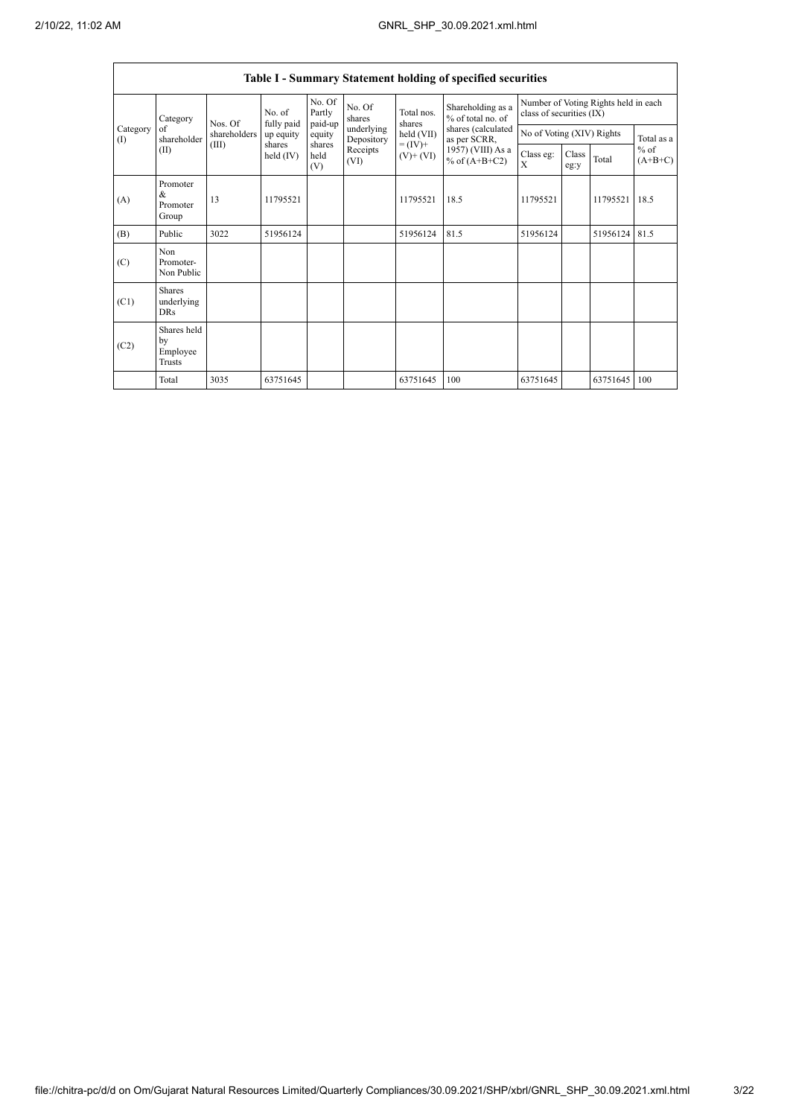$\mathbf{r}$ 

 $\overline{\phantom{a}}$ 

|                          | Table I - Summary Statement holding of specified securities |              |                       |                             |                          |                                            |                                                                            |                           |               |                                      |                     |
|--------------------------|-------------------------------------------------------------|--------------|-----------------------|-----------------------------|--------------------------|--------------------------------------------|----------------------------------------------------------------------------|---------------------------|---------------|--------------------------------------|---------------------|
|                          | Category                                                    | Nos. Of      | No. of<br>fully paid  | No. Of<br>Partly<br>paid-up | No. Of<br>shares         | Total nos.<br>shares                       | Shareholding as a<br>% of total no. of                                     | class of securities (IX)  |               | Number of Voting Rights held in each |                     |
| Category<br>$($ $\Gamma$ | of<br>shareholder                                           | shareholders | up equity             | equity                      | underlying<br>Depository | held (VII)<br>$= (IV) +$<br>$(V)$ + $(VI)$ | shares (calculated<br>as per SCRR,<br>1957) (VIII) As a<br>% of $(A+B+C2)$ | No of Voting (XIV) Rights |               |                                      | Total as a          |
| (II)                     |                                                             | (III)        | shares<br>held $(IV)$ | shares<br>held<br>(V)       | Receipts<br>(VI)         |                                            |                                                                            | Class eg:<br>X            | Class<br>eg:y | Total                                | $%$ of<br>$(A+B+C)$ |
| (A)                      | Promoter<br>&<br>Promoter<br>Group                          | 13           | 11795521              |                             |                          | 11795521                                   | 18.5                                                                       | 11795521                  |               | 11795521                             | 18.5                |
| (B)                      | Public                                                      | 3022         | 51956124              |                             |                          | 51956124                                   | 81.5                                                                       | 51956124                  |               | 51956124                             | 81.5                |
| (C)                      | Non<br>Promoter-<br>Non Public                              |              |                       |                             |                          |                                            |                                                                            |                           |               |                                      |                     |
| (C1)                     | <b>Shares</b><br>underlying<br><b>DRs</b>                   |              |                       |                             |                          |                                            |                                                                            |                           |               |                                      |                     |
| (C2)                     | Shares held<br>by<br>Employee<br>Trusts                     |              |                       |                             |                          |                                            |                                                                            |                           |               |                                      |                     |
|                          | Total                                                       | 3035         | 63751645              |                             |                          | 63751645                                   | 100                                                                        | 63751645                  |               | 63751645                             | 100                 |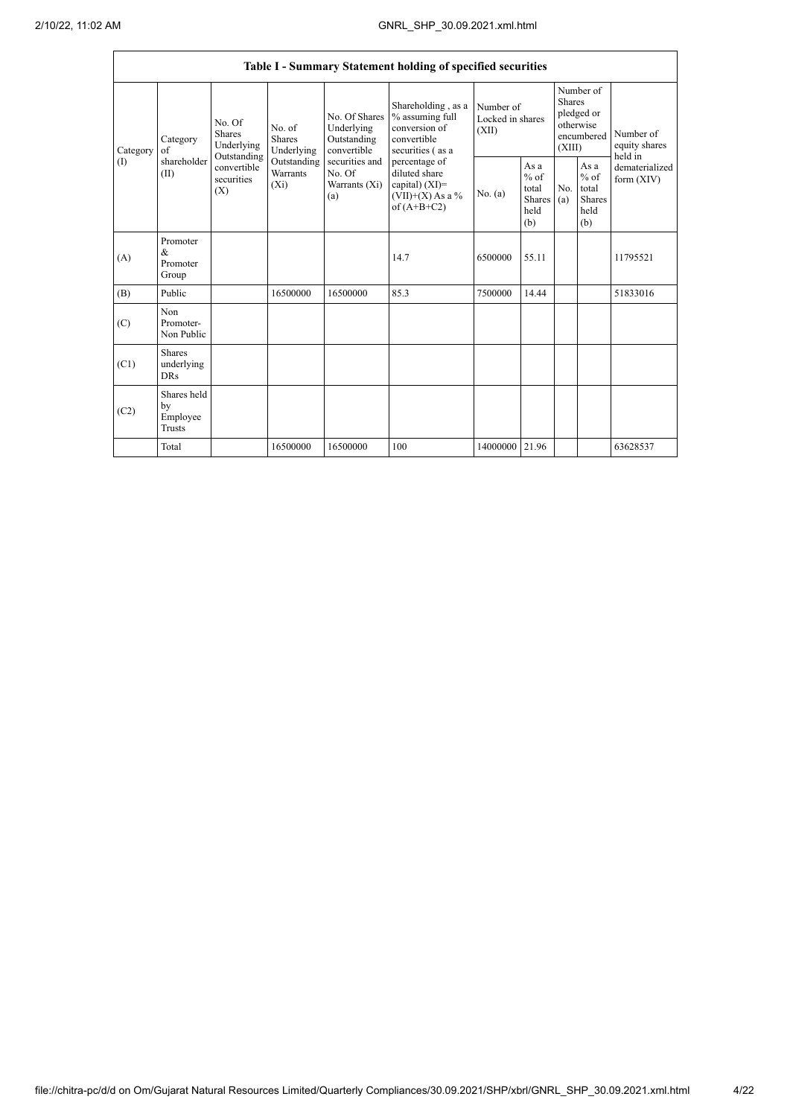|                 |                                                |                                                                                          |                                       |                                                                                                               | Table I - Summary Statement holding of specified securities                                                                                                                             |                                        |                                                                               |            |                                                  |                                |
|-----------------|------------------------------------------------|------------------------------------------------------------------------------------------|---------------------------------------|---------------------------------------------------------------------------------------------------------------|-----------------------------------------------------------------------------------------------------------------------------------------------------------------------------------------|----------------------------------------|-------------------------------------------------------------------------------|------------|--------------------------------------------------|--------------------------------|
| Category<br>(1) | Category<br>of<br>shareholder<br>(II)          | No. Of<br><b>Shares</b><br>Underlying<br>Outstanding<br>convertible<br>securities<br>(X) | No. of<br><b>Shares</b><br>Underlying | No. Of Shares<br>Underlying<br>Outstanding<br>convertible<br>securities and<br>No. Of<br>Warrants (Xi)<br>(a) | Shareholding, as a<br>% assuming full<br>conversion of<br>convertible<br>securities (as a<br>percentage of<br>diluted share<br>capital) $(XI)$ =<br>$(VII)+(X)$ As a %<br>of $(A+B+C2)$ | Number of<br>Locked in shares<br>(XII) | Number of<br><b>Shares</b><br>pledged or<br>otherwise<br>encumbered<br>(XIII) |            | Number of<br>equity shares<br>held in            |                                |
|                 |                                                |                                                                                          | Outstanding<br>Warrants<br>$(X_i)$    |                                                                                                               |                                                                                                                                                                                         | No. (a)                                | As a<br>$%$ of<br>total<br>Shares<br>held<br>(b)                              | No.<br>(a) | As a<br>$%$ of<br>total<br>Shares<br>held<br>(b) | dematerialized<br>form $(XIV)$ |
| (A)             | Promoter<br>$\&$<br>Promoter<br>Group          |                                                                                          |                                       |                                                                                                               | 14.7                                                                                                                                                                                    | 6500000                                | 55.11                                                                         |            |                                                  | 11795521                       |
| (B)             | Public                                         |                                                                                          | 16500000                              | 16500000                                                                                                      | 85.3                                                                                                                                                                                    | 7500000                                | 14.44                                                                         |            |                                                  | 51833016                       |
| (C)             | Non<br>Promoter-<br>Non Public                 |                                                                                          |                                       |                                                                                                               |                                                                                                                                                                                         |                                        |                                                                               |            |                                                  |                                |
| (C1)            | <b>Shares</b><br>underlying<br><b>DRs</b>      |                                                                                          |                                       |                                                                                                               |                                                                                                                                                                                         |                                        |                                                                               |            |                                                  |                                |
| (C2)            | Shares held<br>by<br>Employee<br><b>Trusts</b> |                                                                                          |                                       |                                                                                                               |                                                                                                                                                                                         |                                        |                                                                               |            |                                                  |                                |
|                 | Total                                          |                                                                                          | 16500000                              | 16500000                                                                                                      | 100                                                                                                                                                                                     | 14000000 21.96                         |                                                                               |            |                                                  | 63628537                       |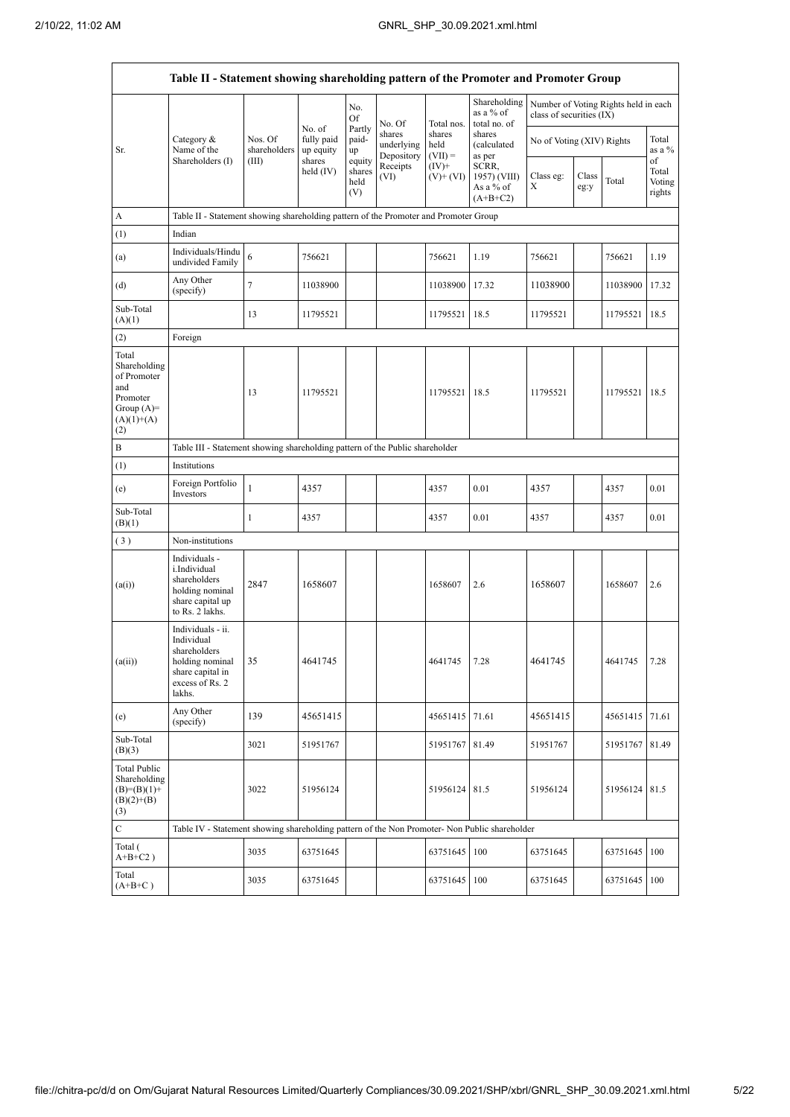$\mathbf{r}$ 

 $\overline{\phantom{a}}$ 

|                                                                                                | Table II - Statement showing shareholding pattern of the Promoter and Promoter Group                                |                                                                              |                                   |                                 |                                    |                             |                                                  |                           |               |                                      |                           |
|------------------------------------------------------------------------------------------------|---------------------------------------------------------------------------------------------------------------------|------------------------------------------------------------------------------|-----------------------------------|---------------------------------|------------------------------------|-----------------------------|--------------------------------------------------|---------------------------|---------------|--------------------------------------|---------------------------|
|                                                                                                |                                                                                                                     |                                                                              |                                   | No.<br><b>Of</b>                | No. Of                             | Total nos.                  | Shareholding<br>as a % of<br>total no. of        | class of securities (IX)  |               | Number of Voting Rights held in each |                           |
| Sr.                                                                                            | Category $\&$<br>Name of the<br>Shareholders (I)                                                                    | Nos. Of<br>shareholders                                                      | No. of<br>fully paid<br>up equity | Partly<br>paid-<br>up           | shares<br>underlying<br>Depository | shares<br>held<br>$(VII) =$ | shares<br>(calculated<br>as per                  | No of Voting (XIV) Rights |               |                                      | Total<br>as a $%$<br>of   |
|                                                                                                |                                                                                                                     | (III)                                                                        | shares<br>held (IV)               | equity<br>shares<br>held<br>(V) | Receipts<br>(VI)                   | $(IV)+$<br>$(V)$ + $(VI)$   | SCRR,<br>1957) (VIII)<br>As a % of<br>$(A+B+C2)$ | Class eg:<br>Х            | Class<br>eg:y | Total                                | Total<br>Voting<br>rights |
| A                                                                                              | Table II - Statement showing shareholding pattern of the Promoter and Promoter Group                                |                                                                              |                                   |                                 |                                    |                             |                                                  |                           |               |                                      |                           |
| (1)                                                                                            | Indian                                                                                                              |                                                                              |                                   |                                 |                                    |                             |                                                  |                           |               |                                      |                           |
| (a)                                                                                            | Individuals/Hindu<br>undivided Family                                                                               | 6                                                                            | 756621                            |                                 |                                    | 756621                      | 1.19                                             | 756621                    |               | 756621                               | 1.19                      |
| (d)                                                                                            | Any Other<br>(specify)                                                                                              | $\tau$                                                                       | 11038900                          |                                 |                                    | 11038900                    | 17.32                                            | 11038900                  |               | 11038900                             | 17.32                     |
| Sub-Total<br>(A)(1)                                                                            |                                                                                                                     | 13                                                                           | 11795521                          |                                 |                                    | 11795521                    | 18.5                                             | 11795521                  |               | 11795521                             | 18.5                      |
| (2)                                                                                            | Foreign                                                                                                             |                                                                              |                                   |                                 |                                    |                             |                                                  |                           |               |                                      |                           |
| Total<br>Shareholding<br>of Promoter<br>and<br>Promoter<br>Group $(A)=$<br>$(A)(1)+(A)$<br>(2) |                                                                                                                     | 13                                                                           | 11795521                          |                                 |                                    | 11795521                    | 18.5                                             | 11795521                  |               | 11795521                             | 18.5                      |
| B                                                                                              |                                                                                                                     | Table III - Statement showing shareholding pattern of the Public shareholder |                                   |                                 |                                    |                             |                                                  |                           |               |                                      |                           |
| (1)                                                                                            | Institutions                                                                                                        |                                                                              |                                   |                                 |                                    |                             |                                                  |                           |               |                                      |                           |
| (e)                                                                                            | Foreign Portfolio<br>Investors                                                                                      | $\mathbf{1}$                                                                 | 4357                              |                                 |                                    | 4357                        | 0.01                                             | 4357                      |               | 4357                                 | 0.01                      |
| Sub-Total<br>(B)(1)                                                                            |                                                                                                                     | 1                                                                            | 4357                              |                                 |                                    | 4357                        | 0.01                                             | 4357                      |               | 4357                                 | 0.01                      |
| (3)                                                                                            | Non-institutions                                                                                                    |                                                                              |                                   |                                 |                                    |                             |                                                  |                           |               |                                      |                           |
| (a(i))                                                                                         | Individuals -<br>i.Individual<br>shareholders<br>holding nominal<br>share capital up<br>to Rs. 2 lakhs.             | 2847                                                                         | 1658607                           |                                 |                                    | 1658607                     | 2.6                                              | 1658607                   |               | 1658607                              | 2.6                       |
| (a(ii))                                                                                        | Individuals - ii.<br>Individual<br>shareholders<br>holding nominal<br>share capital in<br>excess of Rs. 2<br>lakhs. | 35                                                                           | 4641745                           |                                 |                                    | 4641745                     | 7.28                                             | 4641745                   |               | 4641745                              | 7.28                      |
| (e)                                                                                            | Any Other<br>(specify)                                                                                              | 139                                                                          | 45651415                          |                                 |                                    | 45651415                    | 71.61                                            | 45651415                  |               | 45651415                             | 71.61                     |
| Sub-Total<br>(B)(3)                                                                            |                                                                                                                     | 3021                                                                         | 51951767                          |                                 |                                    | 51951767                    | 81.49                                            | 51951767                  |               | 51951767                             | 81.49                     |
| <b>Total Public</b><br>Shareholding<br>$(B)=(B)(1)+$<br>$(B)(2)+(B)$<br>(3)                    |                                                                                                                     | 3022                                                                         | 51956124                          |                                 |                                    | 51956124 81.5               |                                                  | 51956124                  |               | 51956124 81.5                        |                           |
| $\mathbf C$                                                                                    | Table IV - Statement showing shareholding pattern of the Non Promoter- Non Public shareholder                       |                                                                              |                                   |                                 |                                    |                             |                                                  |                           |               |                                      |                           |
| Total (<br>$A+B+C2$ )                                                                          |                                                                                                                     | 3035                                                                         | 63751645                          |                                 |                                    | 63751645                    | 100                                              | 63751645                  |               | 63751645                             | 100                       |
| Total<br>$(A+B+C)$                                                                             |                                                                                                                     | 3035                                                                         | 63751645                          |                                 |                                    | 63751645                    | 100                                              | 63751645                  |               | 63751645                             | 100                       |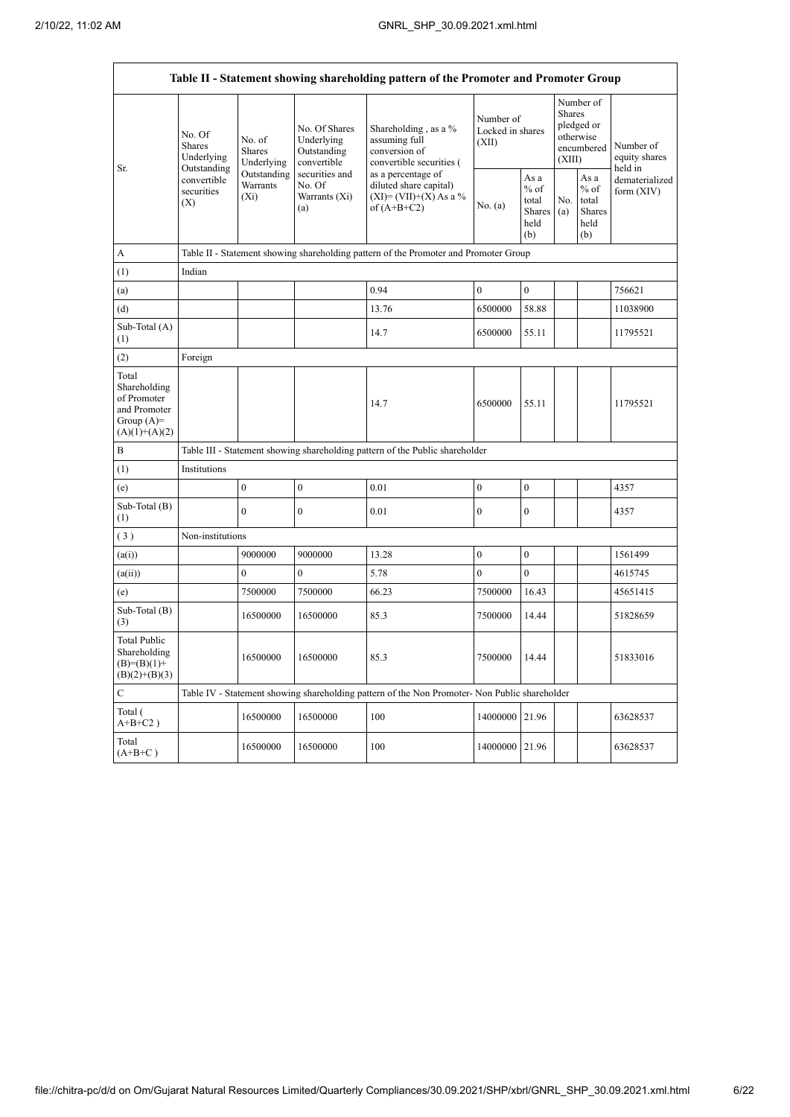|                                                                                         |                                                      |                                       |                                                           | Table II - Statement showing shareholding pattern of the Promoter and Promoter Group          |                                        |                                                         |                                                                               |                                                         |                                       |
|-----------------------------------------------------------------------------------------|------------------------------------------------------|---------------------------------------|-----------------------------------------------------------|-----------------------------------------------------------------------------------------------|----------------------------------------|---------------------------------------------------------|-------------------------------------------------------------------------------|---------------------------------------------------------|---------------------------------------|
| Sr.                                                                                     | No. Of<br><b>Shares</b><br>Underlying<br>Outstanding | No. of<br><b>Shares</b><br>Underlying | No. Of Shares<br>Underlying<br>Outstanding<br>convertible | Shareholding, as a %<br>assuming full<br>conversion of<br>convertible securities (            | Number of<br>Locked in shares<br>(XII) |                                                         | Number of<br><b>Shares</b><br>pledged or<br>otherwise<br>encumbered<br>(XIII) |                                                         | Number of<br>equity shares<br>held in |
|                                                                                         | convertible<br>securities<br>(X)                     | Outstanding<br>Warrants<br>$(X_i)$    | securities and<br>No. Of<br>Warrants (Xi)<br>(a)          | as a percentage of<br>diluted share capital)<br>$(XI) = (VII)+(X) As a %$<br>of $(A+B+C2)$    | No. (a)                                | As a<br>$%$ of<br>total<br><b>Shares</b><br>held<br>(b) | No.<br>(a)                                                                    | As a<br>$%$ of<br>total<br><b>Shares</b><br>held<br>(b) | dematerialized<br>form (XIV)          |
| A                                                                                       |                                                      |                                       |                                                           | Table II - Statement showing shareholding pattern of the Promoter and Promoter Group          |                                        |                                                         |                                                                               |                                                         |                                       |
| (1)                                                                                     | Indian                                               |                                       |                                                           |                                                                                               |                                        |                                                         |                                                                               |                                                         |                                       |
| (a)                                                                                     |                                                      |                                       |                                                           | 0.94                                                                                          | $\boldsymbol{0}$                       | $\boldsymbol{0}$                                        |                                                                               |                                                         | 756621                                |
| (d)                                                                                     |                                                      |                                       |                                                           | 13.76                                                                                         | 6500000                                | 58.88                                                   |                                                                               |                                                         | 11038900                              |
| Sub-Total (A)<br>(1)                                                                    |                                                      |                                       |                                                           | 14.7                                                                                          | 6500000                                | 55.11                                                   |                                                                               |                                                         | 11795521                              |
| (2)                                                                                     | Foreign                                              |                                       |                                                           |                                                                                               |                                        |                                                         |                                                                               |                                                         |                                       |
| Total<br>Shareholding<br>of Promoter<br>and Promoter<br>Group $(A)=$<br>$(A)(1)+(A)(2)$ |                                                      |                                       |                                                           | 14.7                                                                                          | 6500000                                | 55.11                                                   |                                                                               |                                                         | 11795521                              |
| B                                                                                       |                                                      |                                       |                                                           | Table III - Statement showing shareholding pattern of the Public shareholder                  |                                        |                                                         |                                                                               |                                                         |                                       |
| (1)                                                                                     | Institutions                                         |                                       |                                                           |                                                                                               |                                        |                                                         |                                                                               |                                                         |                                       |
| (e)                                                                                     |                                                      | $\mathbf{0}$                          | $\mathbf{0}$                                              | 0.01                                                                                          | $\mathbf{0}$                           | $\mathbf{0}$                                            |                                                                               |                                                         | 4357                                  |
| Sub-Total (B)<br>(1)                                                                    |                                                      | $\mathbf{0}$                          | $\overline{0}$                                            | 0.01                                                                                          | $\mathbf{0}$                           | $\mathbf{0}$                                            |                                                                               |                                                         | 4357                                  |
| (3)                                                                                     | Non-institutions                                     |                                       |                                                           |                                                                                               |                                        |                                                         |                                                                               |                                                         |                                       |
| (a(i))                                                                                  |                                                      | 9000000                               | 9000000                                                   | 13.28                                                                                         | $\mathbf{0}$                           | $\mathbf{0}$                                            |                                                                               |                                                         | 1561499                               |
| (a(ii))                                                                                 |                                                      | $\theta$                              | $\boldsymbol{0}$                                          | 5.78                                                                                          | $\theta$                               | $\theta$                                                |                                                                               |                                                         | 4615745                               |
| (e)                                                                                     |                                                      | 7500000                               | 7500000                                                   | 66.23                                                                                         | 7500000                                | 16.43                                                   |                                                                               |                                                         | 45651415                              |
| Sub-Total (B)<br>(3)                                                                    |                                                      | 16500000                              | 16500000                                                  | 85.3                                                                                          | 7500000                                | 14.44                                                   |                                                                               |                                                         | 51828659                              |
| <b>Total Public</b><br>Shareholding<br>$(B)=(B)(1)+$<br>$(B)(2)+(B)(3)$                 |                                                      | 16500000                              | 16500000                                                  | 85.3                                                                                          | 7500000                                | 14.44                                                   |                                                                               |                                                         | 51833016                              |
| $\overline{C}$                                                                          |                                                      |                                       |                                                           | Table IV - Statement showing shareholding pattern of the Non Promoter- Non Public shareholder |                                        |                                                         |                                                                               |                                                         |                                       |
| Total (<br>$A+B+C2$ )                                                                   |                                                      | 16500000                              | 16500000                                                  | 100                                                                                           | 14000000 21.96                         |                                                         |                                                                               |                                                         | 63628537                              |
| Total<br>$(A+B+C)$                                                                      |                                                      | 16500000                              | 16500000                                                  | 100                                                                                           | 14000000 21.96                         |                                                         |                                                                               |                                                         | 63628537                              |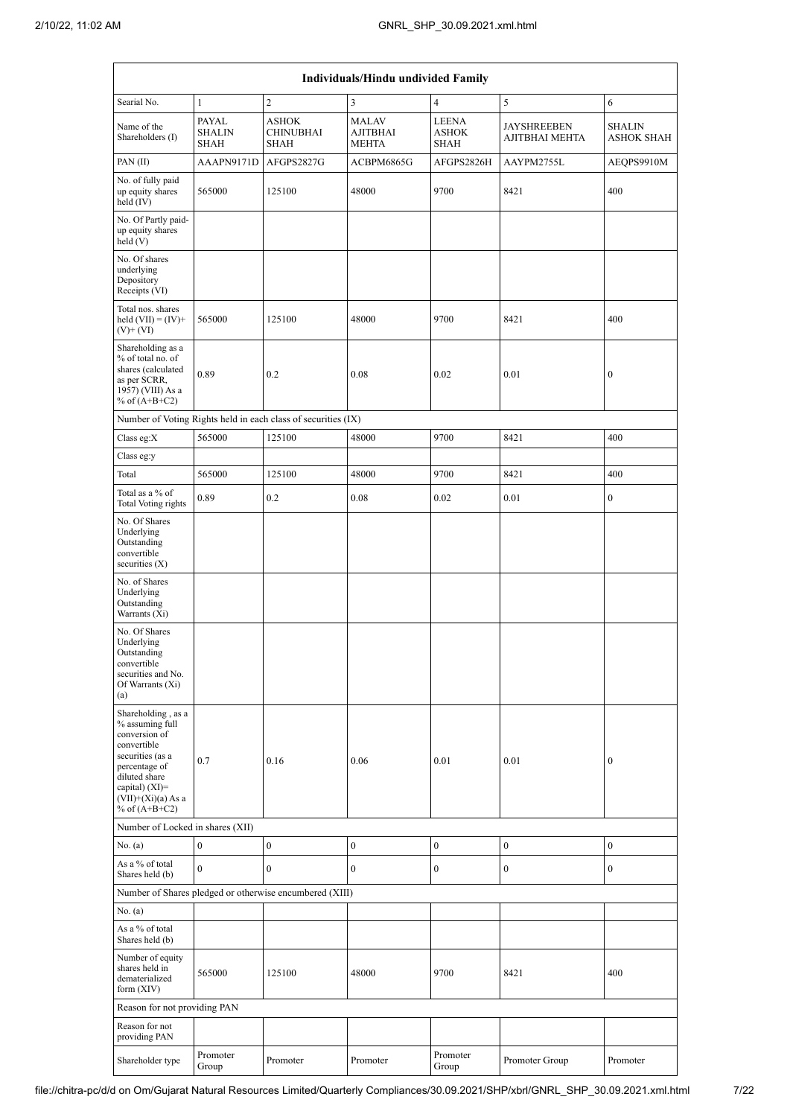|                                                                                                                                                                                            | Individuals/Hindu undivided Family           |                                                               |                                                 |                                             |                                      |                                    |  |  |  |
|--------------------------------------------------------------------------------------------------------------------------------------------------------------------------------------------|----------------------------------------------|---------------------------------------------------------------|-------------------------------------------------|---------------------------------------------|--------------------------------------|------------------------------------|--|--|--|
| Searial No.                                                                                                                                                                                | $\mathbf{1}$                                 | $\overline{c}$                                                | 3                                               | $\overline{4}$                              | 5                                    | 6                                  |  |  |  |
| Name of the<br>Shareholders (I)                                                                                                                                                            | <b>PAYAL</b><br><b>SHALIN</b><br><b>SHAH</b> | <b>ASHOK</b><br><b>CHINUBHAI</b><br><b>SHAH</b>               | <b>MALAV</b><br><b>AJITBHAI</b><br><b>MEHTA</b> | <b>LEENA</b><br><b>ASHOK</b><br><b>SHAH</b> | <b>JAYSHREEBEN</b><br>AJITBHAI MEHTA | <b>SHALIN</b><br><b>ASHOK SHAH</b> |  |  |  |
| PAN(II)                                                                                                                                                                                    | AAAPN9171D                                   | AFGPS2827G                                                    | ACBPM6865G                                      | AFGPS2826H                                  | AAYPM2755L                           | AEQPS9910M                         |  |  |  |
| No. of fully paid<br>up equity shares<br>held (IV)                                                                                                                                         | 565000                                       | 125100                                                        | 48000                                           | 9700                                        | 8421                                 | 400                                |  |  |  |
| No. Of Partly paid-<br>up equity shares<br>held (V)                                                                                                                                        |                                              |                                                               |                                                 |                                             |                                      |                                    |  |  |  |
| No. Of shares<br>underlying<br>Depository<br>Receipts (VI)                                                                                                                                 |                                              |                                                               |                                                 |                                             |                                      |                                    |  |  |  |
| Total nos. shares<br>held $(VII) = (IV) +$<br>$(V)$ + $(VI)$                                                                                                                               | 565000                                       | 125100                                                        | 48000                                           | 9700                                        | 8421                                 | 400                                |  |  |  |
| Shareholding as a<br>% of total no. of<br>shares (calculated<br>as per SCRR,<br>1957) (VIII) As a<br>% of $(A+B+C2)$                                                                       | 0.89                                         | 0.2                                                           | 0.08                                            | 0.02                                        | 0.01                                 | $\boldsymbol{0}$                   |  |  |  |
|                                                                                                                                                                                            |                                              | Number of Voting Rights held in each class of securities (IX) |                                                 |                                             |                                      |                                    |  |  |  |
| Class eg: $X$                                                                                                                                                                              | 565000                                       | 125100                                                        | 48000                                           | 9700                                        | 8421                                 | 400                                |  |  |  |
| Class eg:y                                                                                                                                                                                 |                                              |                                                               |                                                 |                                             |                                      |                                    |  |  |  |
| Total                                                                                                                                                                                      | 565000                                       | 125100                                                        | 48000                                           | 9700                                        | 8421                                 | 400                                |  |  |  |
| Total as a % of<br>Total Voting rights                                                                                                                                                     | 0.89                                         | 0.2                                                           | 0.08                                            | 0.02                                        | 0.01                                 | $\boldsymbol{0}$                   |  |  |  |
| No. Of Shares<br>Underlying<br>Outstanding<br>convertible<br>securities $(X)$                                                                                                              |                                              |                                                               |                                                 |                                             |                                      |                                    |  |  |  |
| No. of Shares<br>Underlying<br>Outstanding<br>Warrants (Xi)                                                                                                                                |                                              |                                                               |                                                 |                                             |                                      |                                    |  |  |  |
| No. Of Shares<br>Underlying<br>Outstanding<br>convertible<br>securities and No.<br>Of Warrants (Xi)<br>(a)                                                                                 |                                              |                                                               |                                                 |                                             |                                      |                                    |  |  |  |
| Shareholding, as a<br>% assuming full<br>conversion of<br>convertible<br>securities (as a<br>percentage of<br>diluted share<br>capital) $(XI)=$<br>$(VII)+(Xi)(a) As a$<br>% of $(A+B+C2)$ | 0.7                                          | 0.16                                                          | 0.06                                            | 0.01                                        | 0.01                                 | $\mathbf{0}$                       |  |  |  |
| Number of Locked in shares (XII)                                                                                                                                                           |                                              |                                                               |                                                 |                                             |                                      |                                    |  |  |  |
| No. (a)                                                                                                                                                                                    | $\boldsymbol{0}$                             | $\boldsymbol{0}$                                              | $\boldsymbol{0}$                                | $\boldsymbol{0}$                            | $\boldsymbol{0}$                     | $\boldsymbol{0}$                   |  |  |  |
| As a % of total<br>Shares held (b)                                                                                                                                                         | $\theta$                                     | $\overline{0}$                                                | $\overline{0}$                                  | $\mathbf{0}$                                | $\boldsymbol{0}$                     | $\mathbf{0}$                       |  |  |  |
|                                                                                                                                                                                            |                                              | Number of Shares pledged or otherwise encumbered (XIII)       |                                                 |                                             |                                      |                                    |  |  |  |
| No. $(a)$                                                                                                                                                                                  |                                              |                                                               |                                                 |                                             |                                      |                                    |  |  |  |
| As a % of total<br>Shares held (b)                                                                                                                                                         |                                              |                                                               |                                                 |                                             |                                      |                                    |  |  |  |
| Number of equity<br>shares held in<br>dematerialized<br>form $(XIV)$                                                                                                                       | 565000                                       | 125100                                                        | 48000                                           | 9700                                        | 8421                                 | 400                                |  |  |  |
| Reason for not providing PAN                                                                                                                                                               |                                              |                                                               |                                                 |                                             |                                      |                                    |  |  |  |
| Reason for not<br>providing PAN                                                                                                                                                            |                                              |                                                               |                                                 |                                             |                                      |                                    |  |  |  |
| Shareholder type                                                                                                                                                                           | Promoter<br>Group                            | Promoter                                                      | Promoter                                        | Promoter<br>Group                           | Promoter Group                       | Promoter                           |  |  |  |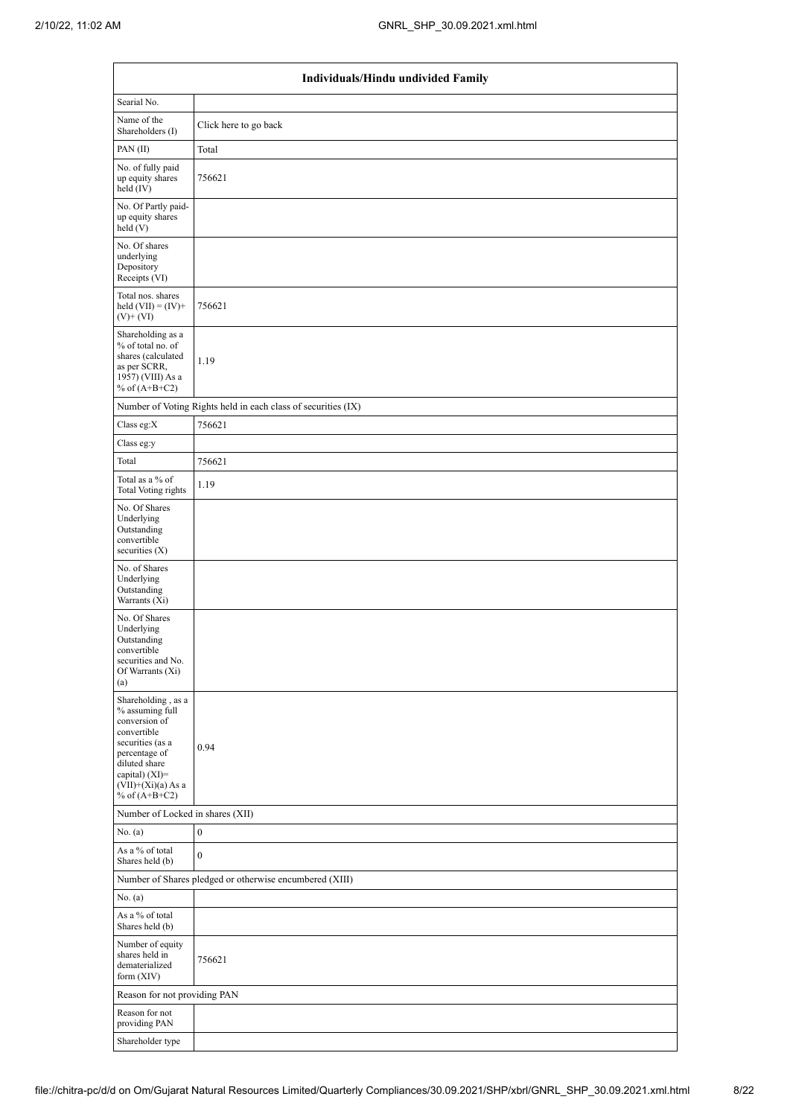|                                                                                                                                                                                          | Individuals/Hindu undivided Family                            |  |  |  |  |  |  |
|------------------------------------------------------------------------------------------------------------------------------------------------------------------------------------------|---------------------------------------------------------------|--|--|--|--|--|--|
| Searial No.                                                                                                                                                                              |                                                               |  |  |  |  |  |  |
| Name of the<br>Shareholders (I)                                                                                                                                                          | Click here to go back                                         |  |  |  |  |  |  |
| PAN(II)                                                                                                                                                                                  | Total                                                         |  |  |  |  |  |  |
| No. of fully paid<br>up equity shares<br>held (IV)                                                                                                                                       | 756621                                                        |  |  |  |  |  |  |
| No. Of Partly paid-<br>up equity shares<br>held(V)                                                                                                                                       |                                                               |  |  |  |  |  |  |
| No. Of shares<br>underlying<br>Depository<br>Receipts (VI)                                                                                                                               |                                                               |  |  |  |  |  |  |
| Total nos. shares<br>held $(VII) = (IV) +$<br>$(V)$ + $(VI)$                                                                                                                             | 756621                                                        |  |  |  |  |  |  |
| Shareholding as a<br>% of total no. of<br>shares (calculated<br>as per SCRR,<br>1957) (VIII) As a<br>% of $(A+B+C2)$                                                                     | 1.19                                                          |  |  |  |  |  |  |
|                                                                                                                                                                                          | Number of Voting Rights held in each class of securities (IX) |  |  |  |  |  |  |
| Class eg:X                                                                                                                                                                               | 756621                                                        |  |  |  |  |  |  |
| Class eg:y                                                                                                                                                                               |                                                               |  |  |  |  |  |  |
| Total                                                                                                                                                                                    | 756621                                                        |  |  |  |  |  |  |
| Total as a % of<br><b>Total Voting rights</b>                                                                                                                                            | 1.19                                                          |  |  |  |  |  |  |
| No. Of Shares<br>Underlying<br>Outstanding<br>convertible<br>securities $(X)$                                                                                                            |                                                               |  |  |  |  |  |  |
| No. of Shares<br>Underlying<br>Outstanding<br>Warrants (Xi)                                                                                                                              |                                                               |  |  |  |  |  |  |
| No. Of Shares<br>Underlying<br>Outstanding<br>convertible<br>securities and No.<br>Of Warrants (Xi)<br>(a)                                                                               |                                                               |  |  |  |  |  |  |
| Shareholding, as a<br>% assuming full<br>conversion of<br>convertible<br>securities (as a<br>percentage of<br>diluted share<br>capital) (XI)=<br>$(VII)+(Xi)(a) As a$<br>% of $(A+B+C2)$ | 0.94                                                          |  |  |  |  |  |  |
| Number of Locked in shares (XII)                                                                                                                                                         |                                                               |  |  |  |  |  |  |
| No. $(a)$                                                                                                                                                                                | $\boldsymbol{0}$                                              |  |  |  |  |  |  |
| As a % of total<br>Shares held (b)                                                                                                                                                       | $\boldsymbol{0}$                                              |  |  |  |  |  |  |
|                                                                                                                                                                                          | Number of Shares pledged or otherwise encumbered (XIII)       |  |  |  |  |  |  |
| No. (a)                                                                                                                                                                                  |                                                               |  |  |  |  |  |  |
| As a % of total<br>Shares held (b)                                                                                                                                                       |                                                               |  |  |  |  |  |  |
| Number of equity<br>shares held in<br>dematerialized<br>form (XIV)                                                                                                                       | 756621                                                        |  |  |  |  |  |  |
| Reason for not providing PAN                                                                                                                                                             |                                                               |  |  |  |  |  |  |
| Reason for not<br>providing PAN                                                                                                                                                          |                                                               |  |  |  |  |  |  |
| Shareholder type                                                                                                                                                                         |                                                               |  |  |  |  |  |  |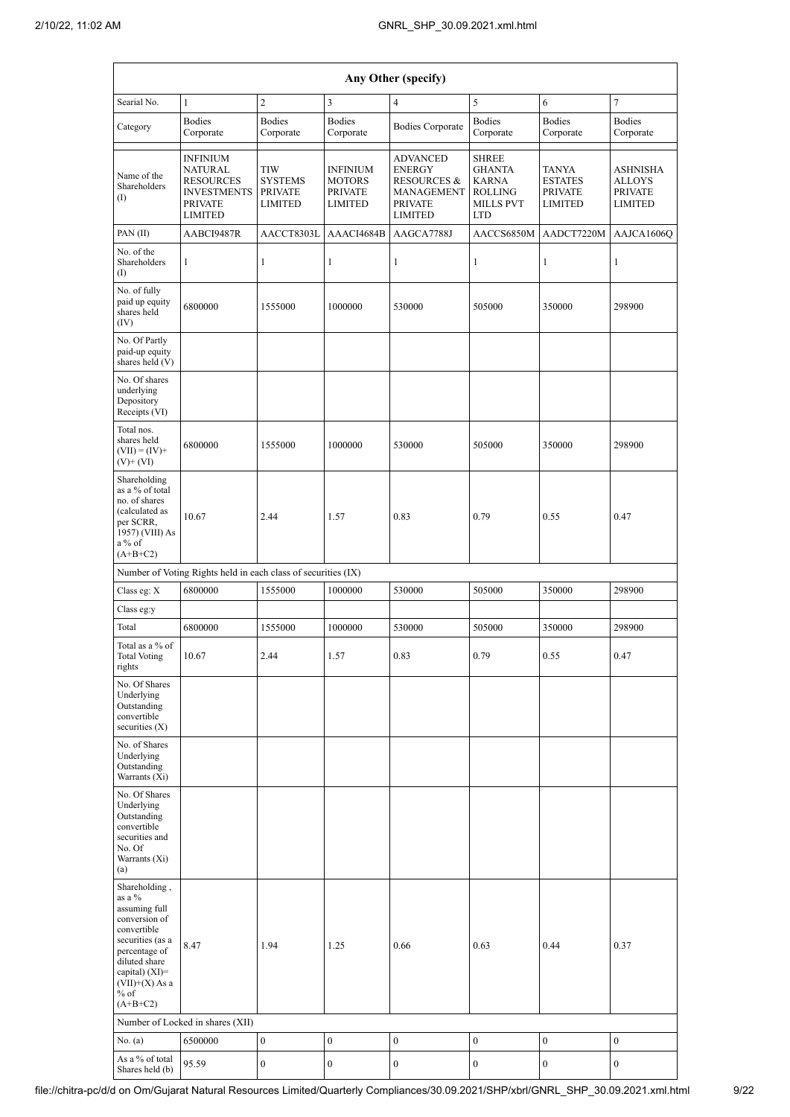|                                                                                                                                                                                                | Any Other (specify)                                                                                      |                                                                  |                                                                      |                                                                                                              |                                                                                                   |                                                                    |                                                                      |  |
|------------------------------------------------------------------------------------------------------------------------------------------------------------------------------------------------|----------------------------------------------------------------------------------------------------------|------------------------------------------------------------------|----------------------------------------------------------------------|--------------------------------------------------------------------------------------------------------------|---------------------------------------------------------------------------------------------------|--------------------------------------------------------------------|----------------------------------------------------------------------|--|
| Searial No.                                                                                                                                                                                    | $\mathbf{1}$                                                                                             | $\overline{c}$                                                   | $\mathfrak{Z}$                                                       | 4                                                                                                            | 5                                                                                                 | 6                                                                  | $\tau$                                                               |  |
| Category                                                                                                                                                                                       | <b>Bodies</b><br>Corporate                                                                               | <b>Bodies</b><br>Corporate                                       | <b>Bodies</b><br>Corporate                                           | <b>Bodies Corporate</b>                                                                                      | <b>Bodies</b><br>Corporate                                                                        | <b>Bodies</b><br>Corporate                                         | <b>Bodies</b><br>Corporate                                           |  |
| Name of the<br>Shareholders<br>(I)                                                                                                                                                             | INFINIUM<br><b>NATURAL</b><br><b>RESOURCES</b><br><b>INVESTMENTS</b><br><b>PRIVATE</b><br><b>LIMITED</b> | <b>TIW</b><br><b>SYSTEMS</b><br><b>PRIVATE</b><br><b>LIMITED</b> | <b>INFINIUM</b><br><b>MOTORS</b><br><b>PRIVATE</b><br><b>LIMITED</b> | <b>ADVANCED</b><br><b>ENERGY</b><br><b>RESOURCES &amp;</b><br>MANAGEMENT<br><b>PRIVATE</b><br><b>LIMITED</b> | <b>SHREE</b><br><b>GHANTA</b><br><b>KARNA</b><br><b>ROLLING</b><br><b>MILLS PVT</b><br><b>LTD</b> | <b>TANYA</b><br><b>ESTATES</b><br><b>PRIVATE</b><br><b>LIMITED</b> | <b>ASHNISHA</b><br><b>ALLOYS</b><br><b>PRIVATE</b><br><b>LIMITED</b> |  |
| PAN(II)                                                                                                                                                                                        | AABCI9487R                                                                                               | AACCT8303L                                                       | AAACI4684B                                                           | AAGCA7788J                                                                                                   | AACCS6850M                                                                                        | AADCT7220M                                                         | AAJCA1606O                                                           |  |
| No. of the<br>Shareholders<br>(I)                                                                                                                                                              | 1                                                                                                        | $\mathbf{1}$                                                     | 1                                                                    | 1                                                                                                            | $\mathbf{1}$                                                                                      | 1                                                                  | 1                                                                    |  |
| No. of fully<br>paid up equity<br>shares held<br>(IV)                                                                                                                                          | 6800000                                                                                                  | 1555000                                                          | 1000000                                                              | 530000                                                                                                       | 505000                                                                                            | 350000                                                             | 298900                                                               |  |
| No. Of Partly<br>paid-up equity<br>shares held (V)                                                                                                                                             |                                                                                                          |                                                                  |                                                                      |                                                                                                              |                                                                                                   |                                                                    |                                                                      |  |
| No. Of shares<br>underlying<br>Depository<br>Receipts (VI)                                                                                                                                     |                                                                                                          |                                                                  |                                                                      |                                                                                                              |                                                                                                   |                                                                    |                                                                      |  |
| Total nos.<br>shares held<br>$(VII) = (IV) +$<br>$(V)$ + $(VI)$                                                                                                                                | 6800000                                                                                                  | 1555000                                                          | 1000000                                                              | 530000                                                                                                       | 505000                                                                                            | 350000                                                             | 298900                                                               |  |
| Shareholding<br>as a % of total<br>no. of shares<br>(calculated as<br>per SCRR,<br>1957) (VIII) As<br>a % of<br>$(A+B+C2)$                                                                     | 10.67                                                                                                    | 2.44                                                             | 1.57                                                                 | 0.83                                                                                                         | 0.79                                                                                              | 0.55                                                               | 0.47                                                                 |  |
|                                                                                                                                                                                                | Number of Voting Rights held in each class of securities (IX)                                            |                                                                  |                                                                      |                                                                                                              |                                                                                                   |                                                                    |                                                                      |  |
| Class eg: X                                                                                                                                                                                    | 6800000                                                                                                  | 1555000                                                          | 1000000                                                              | 530000                                                                                                       | 505000                                                                                            | 350000                                                             | 298900                                                               |  |
| Class eg:y                                                                                                                                                                                     |                                                                                                          |                                                                  |                                                                      |                                                                                                              |                                                                                                   |                                                                    |                                                                      |  |
| Total<br>Total as a % of<br><b>Total Voting</b><br>rights                                                                                                                                      | 6800000<br>10.67                                                                                         | 1555000<br>2.44                                                  | 1000000<br>1.57                                                      | 530000<br>0.83                                                                                               | 505000<br>0.79                                                                                    | 350000<br>0.55                                                     | 298900<br>0.47                                                       |  |
| No. Of Shares<br>Underlying<br>Outstanding<br>convertible<br>securities $(X)$                                                                                                                  |                                                                                                          |                                                                  |                                                                      |                                                                                                              |                                                                                                   |                                                                    |                                                                      |  |
| No. of Shares<br>Underlying<br>Outstanding<br>Warrants (Xi)                                                                                                                                    |                                                                                                          |                                                                  |                                                                      |                                                                                                              |                                                                                                   |                                                                    |                                                                      |  |
| No. Of Shares<br>Underlying<br>Outstanding<br>convertible<br>securities and<br>No. Of<br>Warrants (Xi)<br>(a)                                                                                  |                                                                                                          |                                                                  |                                                                      |                                                                                                              |                                                                                                   |                                                                    |                                                                      |  |
| Shareholding,<br>as a %<br>assuming full<br>conversion of<br>convertible<br>securities (as a<br>percentage of<br>diluted share<br>capital) $(XI)=$<br>$(VII)+(X)$ As a<br>$%$ of<br>$(A+B+C2)$ | 8.47                                                                                                     | 1.94                                                             | 1.25                                                                 | 0.66                                                                                                         | 0.63                                                                                              | 0.44                                                               | 0.37                                                                 |  |
|                                                                                                                                                                                                | Number of Locked in shares (XII)                                                                         |                                                                  |                                                                      |                                                                                                              |                                                                                                   |                                                                    |                                                                      |  |
| No. $(a)$                                                                                                                                                                                      | 6500000                                                                                                  | $\boldsymbol{0}$                                                 | $\boldsymbol{0}$                                                     | $\boldsymbol{0}$                                                                                             | $\boldsymbol{0}$                                                                                  | $\boldsymbol{0}$                                                   | $\boldsymbol{0}$                                                     |  |
| As a % of total<br>Shares held (b)                                                                                                                                                             | 95.59                                                                                                    | $\boldsymbol{0}$                                                 | $\boldsymbol{0}$                                                     | 0                                                                                                            | $\boldsymbol{0}$                                                                                  | $\boldsymbol{0}$                                                   | $\boldsymbol{0}$                                                     |  |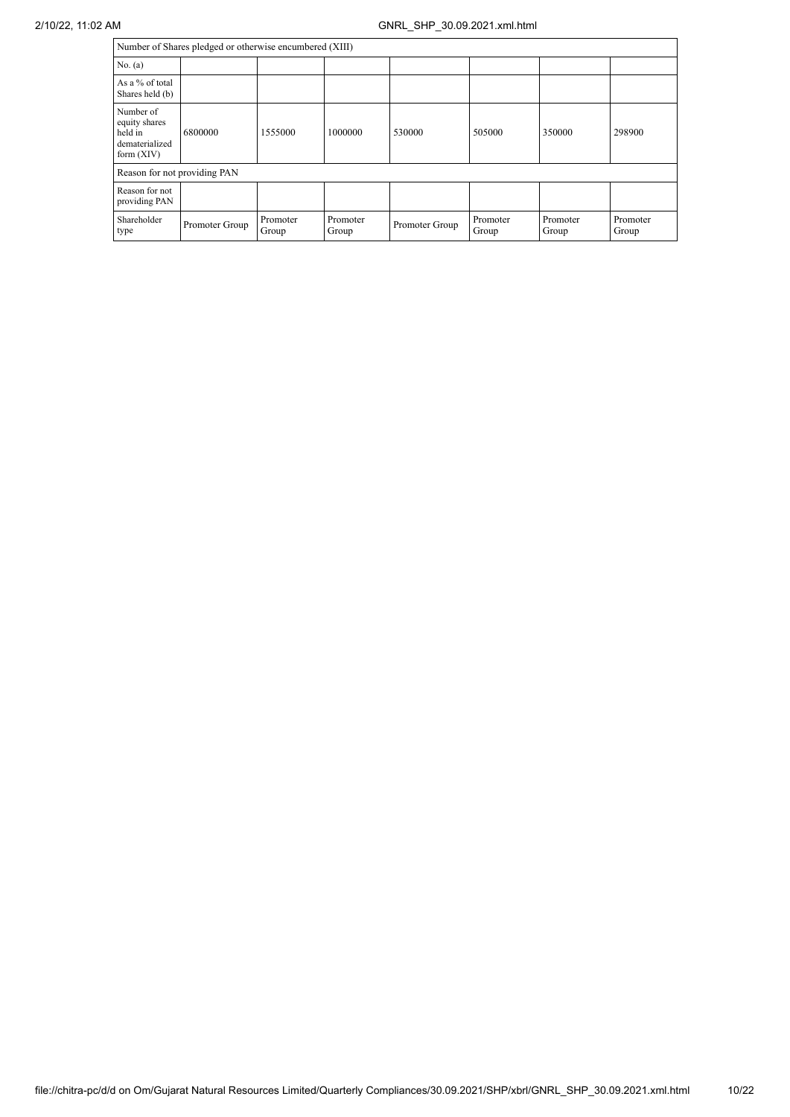|                                                                         | Number of Shares pledged or otherwise encumbered (XIII) |                   |                   |                |                   |                   |                   |  |
|-------------------------------------------------------------------------|---------------------------------------------------------|-------------------|-------------------|----------------|-------------------|-------------------|-------------------|--|
| No. $(a)$                                                               |                                                         |                   |                   |                |                   |                   |                   |  |
| As a % of total<br>Shares held (b)                                      |                                                         |                   |                   |                |                   |                   |                   |  |
| Number of<br>equity shares<br>held in<br>dematerialized<br>form $(XIV)$ | 6800000                                                 | 1555000           | 1000000           | 530000         | 505000            | 350000            | 298900            |  |
| Reason for not providing PAN                                            |                                                         |                   |                   |                |                   |                   |                   |  |
| Reason for not<br>providing PAN                                         |                                                         |                   |                   |                |                   |                   |                   |  |
| Shareholder<br>type                                                     | Promoter Group                                          | Promoter<br>Group | Promoter<br>Group | Promoter Group | Promoter<br>Group | Promoter<br>Group | Promoter<br>Group |  |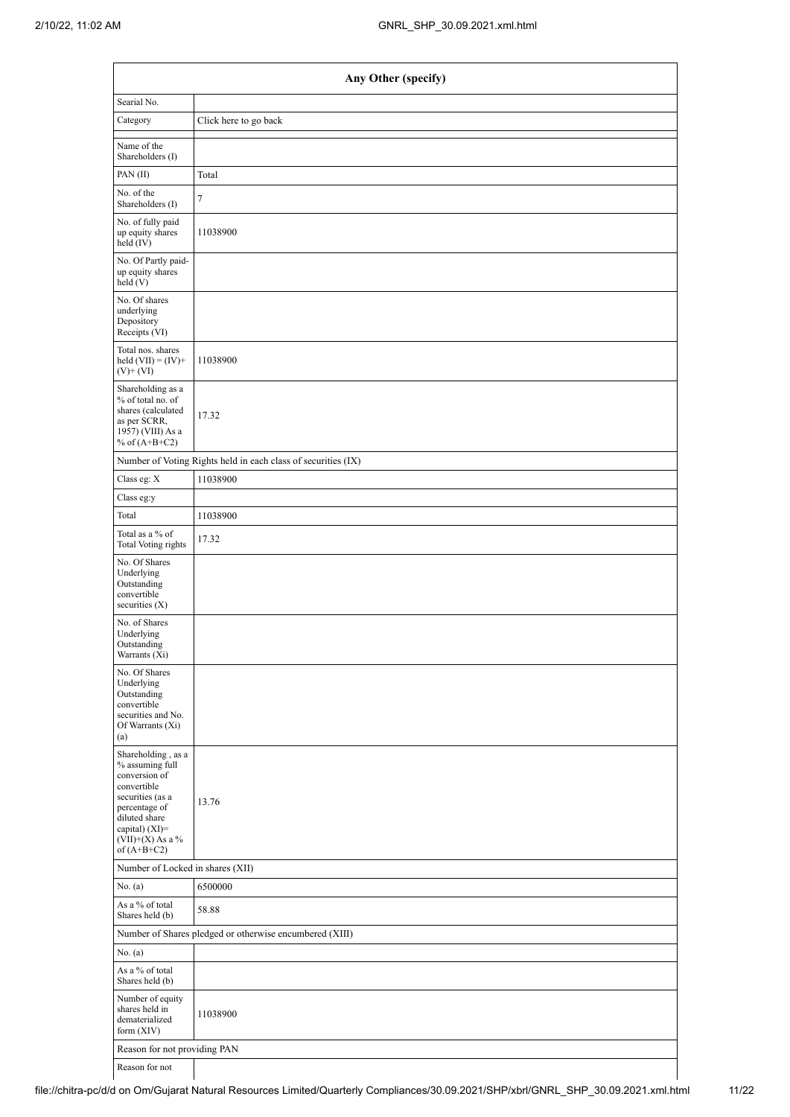|                                                                                                                                                                                      | Any Other (specify)                                           |  |  |  |  |  |  |
|--------------------------------------------------------------------------------------------------------------------------------------------------------------------------------------|---------------------------------------------------------------|--|--|--|--|--|--|
| Searial No.                                                                                                                                                                          |                                                               |  |  |  |  |  |  |
| Category                                                                                                                                                                             | Click here to go back                                         |  |  |  |  |  |  |
| Name of the<br>Shareholders (I)                                                                                                                                                      |                                                               |  |  |  |  |  |  |
| PAN(II)                                                                                                                                                                              | Total                                                         |  |  |  |  |  |  |
| No. of the<br>Shareholders (I)                                                                                                                                                       | $\tau$                                                        |  |  |  |  |  |  |
| No. of fully paid<br>up equity shares<br>$held$ (IV)                                                                                                                                 | 11038900                                                      |  |  |  |  |  |  |
| No. Of Partly paid-<br>up equity shares<br>held(V)                                                                                                                                   |                                                               |  |  |  |  |  |  |
| No. Of shares<br>underlying<br>Depository<br>Receipts (VI)                                                                                                                           |                                                               |  |  |  |  |  |  |
| Total nos. shares<br>held $(VII) = (IV) +$<br>$(V)$ + $(VI)$                                                                                                                         | 11038900                                                      |  |  |  |  |  |  |
| Shareholding as a<br>% of total no. of<br>shares (calculated<br>as per SCRR,<br>1957) (VIII) As a<br>% of $(A+B+C2)$                                                                 | 17.32                                                         |  |  |  |  |  |  |
|                                                                                                                                                                                      | Number of Voting Rights held in each class of securities (IX) |  |  |  |  |  |  |
| Class eg: X                                                                                                                                                                          | 11038900                                                      |  |  |  |  |  |  |
| Class eg:y                                                                                                                                                                           |                                                               |  |  |  |  |  |  |
| Total                                                                                                                                                                                | 11038900                                                      |  |  |  |  |  |  |
| Total as a % of<br><b>Total Voting rights</b>                                                                                                                                        | 17.32                                                         |  |  |  |  |  |  |
| No. Of Shares<br>Underlying<br>Outstanding<br>convertible<br>securities (X)                                                                                                          |                                                               |  |  |  |  |  |  |
| No. of Shares<br>Underlying<br>Outstanding<br>Warrants (Xi)                                                                                                                          |                                                               |  |  |  |  |  |  |
| No. Of Shares<br>Underlying<br>Outstanding<br>convertible<br>securities and No.<br>Of Warrants (Xi)<br>(a)                                                                           |                                                               |  |  |  |  |  |  |
| Shareholding, as a<br>% assuming full<br>conversion of<br>convertible<br>securities (as a<br>percentage of<br>diluted share<br>capital) (XI)=<br>$(VII)+(X)$ As a %<br>of $(A+B+C2)$ | 13.76                                                         |  |  |  |  |  |  |
| Number of Locked in shares (XII)                                                                                                                                                     |                                                               |  |  |  |  |  |  |
| No. (a)                                                                                                                                                                              | 6500000                                                       |  |  |  |  |  |  |
| As a % of total<br>Shares held (b)                                                                                                                                                   | 58.88                                                         |  |  |  |  |  |  |
|                                                                                                                                                                                      | Number of Shares pledged or otherwise encumbered (XIII)       |  |  |  |  |  |  |
| No. (a)                                                                                                                                                                              |                                                               |  |  |  |  |  |  |
| As a % of total<br>Shares held (b)                                                                                                                                                   |                                                               |  |  |  |  |  |  |
| Number of equity<br>shares held in<br>dematerialized<br>form (XIV)                                                                                                                   | 11038900                                                      |  |  |  |  |  |  |
|                                                                                                                                                                                      | Reason for not providing PAN                                  |  |  |  |  |  |  |

Reason for not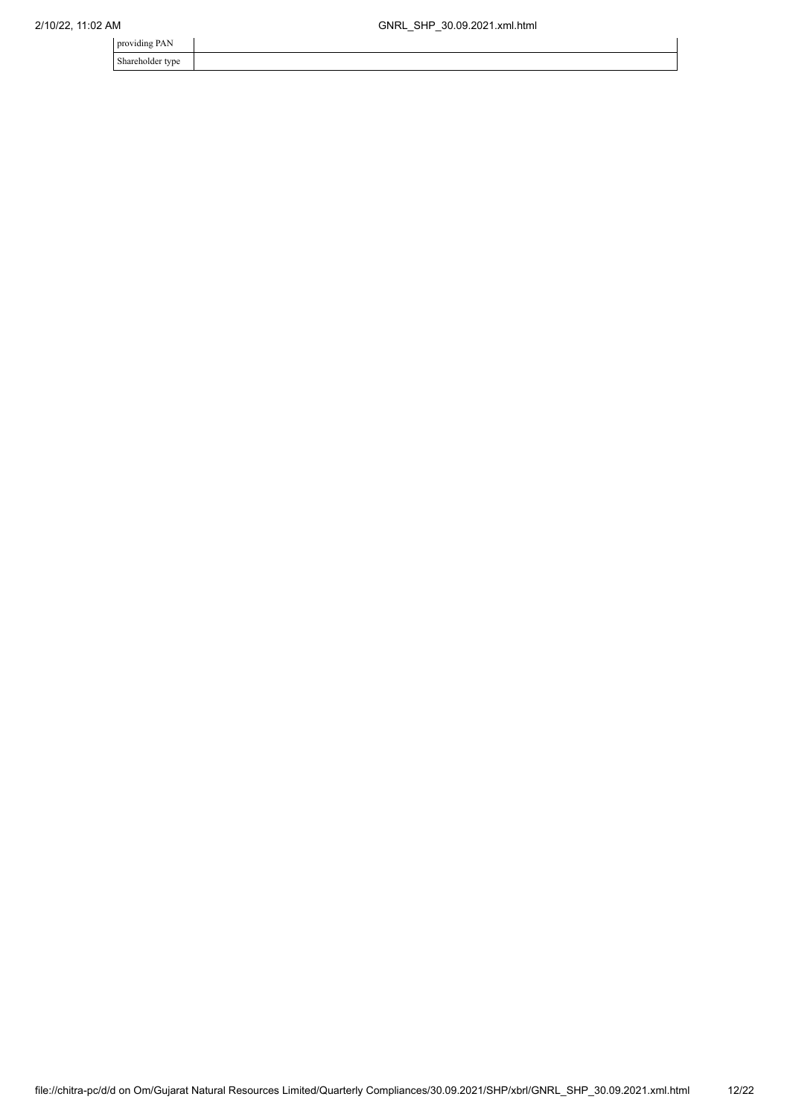| providing PAN    |  |
|------------------|--|
| Shareholder type |  |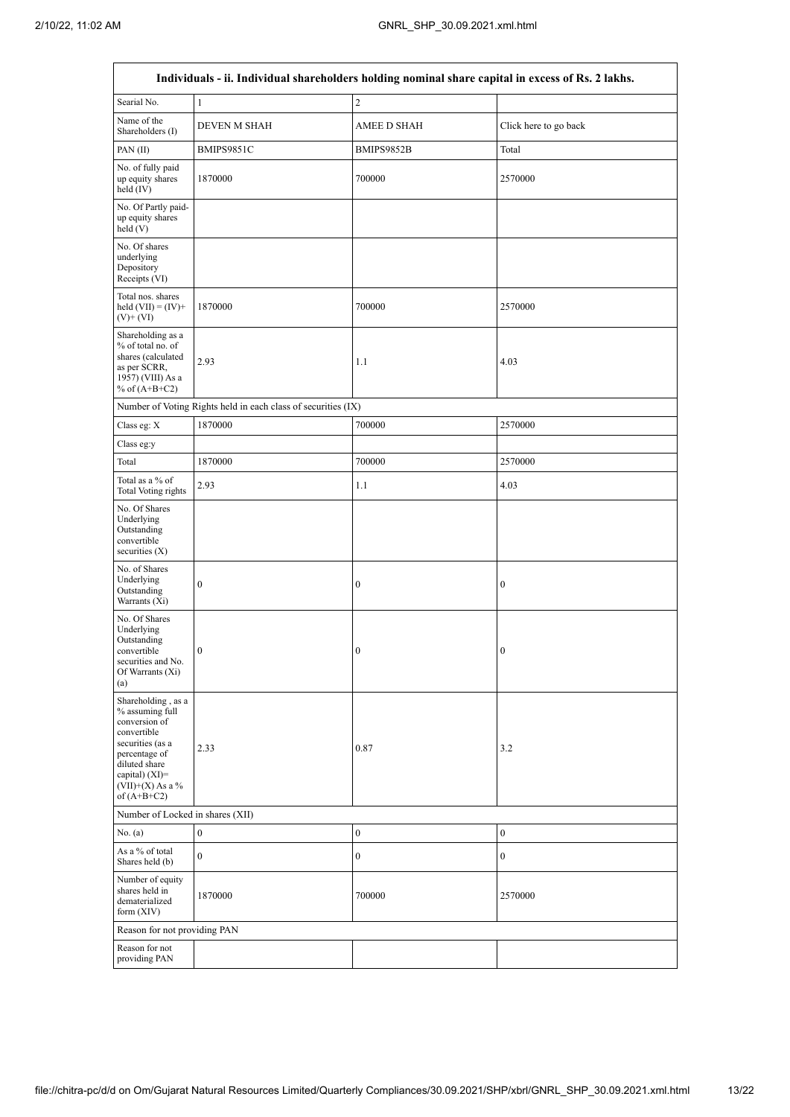|                                                                                                                                                                                         | Individuals - ii. Individual shareholders holding nominal share capital in excess of Rs. 2 lakhs. |                    |                       |
|-----------------------------------------------------------------------------------------------------------------------------------------------------------------------------------------|---------------------------------------------------------------------------------------------------|--------------------|-----------------------|
| Searial No.                                                                                                                                                                             | $\mathbf{1}$                                                                                      | $\overline{c}$     |                       |
| Name of the<br>Shareholders (I)                                                                                                                                                         | <b>DEVEN M SHAH</b>                                                                               | <b>AMEE D SHAH</b> | Click here to go back |
| PAN(II)                                                                                                                                                                                 | BMIPS9851C                                                                                        | BMIPS9852B         | Total                 |
| No. of fully paid<br>up equity shares<br>held (IV)                                                                                                                                      | 1870000                                                                                           | 700000             | 2570000               |
| No. Of Partly paid-<br>up equity shares<br>held (V)                                                                                                                                     |                                                                                                   |                    |                       |
| No. Of shares<br>underlying<br>Depository<br>Receipts (VI)                                                                                                                              |                                                                                                   |                    |                       |
| Total nos. shares<br>held $(VII) = (IV) +$<br>$(V)$ + $(VI)$                                                                                                                            | 1870000                                                                                           | 700000             | 2570000               |
| Shareholding as a<br>% of total no. of<br>shares (calculated<br>as per SCRR,<br>1957) (VIII) As a<br>% of $(A+B+C2)$                                                                    | 2.93                                                                                              | 1.1                | 4.03                  |
|                                                                                                                                                                                         | Number of Voting Rights held in each class of securities (IX)                                     |                    |                       |
| Class eg: X                                                                                                                                                                             | 1870000                                                                                           | 700000             | 2570000               |
| Class eg:y                                                                                                                                                                              |                                                                                                   |                    |                       |
| Total                                                                                                                                                                                   | 1870000                                                                                           | 700000             | 2570000               |
| Total as a % of<br><b>Total Voting rights</b>                                                                                                                                           | 2.93                                                                                              | 1.1                | 4.03                  |
| No. Of Shares<br>Underlying<br>Outstanding<br>convertible<br>securities $(X)$                                                                                                           |                                                                                                   |                    |                       |
| No. of Shares<br>Underlying<br>Outstanding<br>Warrants (Xi)                                                                                                                             | $\boldsymbol{0}$                                                                                  | $\boldsymbol{0}$   | $\boldsymbol{0}$      |
| No. Of Shares<br>Underlying<br>Outstanding<br>convertible<br>securities and No.<br>Of Warrants (Xi)<br>(a)                                                                              | $\boldsymbol{0}$                                                                                  | $\boldsymbol{0}$   | $\boldsymbol{0}$      |
| Shareholding, as a<br>% assuming full<br>conversion of<br>convertible<br>securities (as a<br>percentage of<br>diluted share<br>capital) $(XI)$ =<br>$(VII)+(X)$ As a %<br>of $(A+B+C2)$ | 2.33                                                                                              | 0.87               | 3.2                   |
| Number of Locked in shares (XII)                                                                                                                                                        |                                                                                                   |                    |                       |
| No. (a)                                                                                                                                                                                 | $\boldsymbol{0}$                                                                                  | $\boldsymbol{0}$   | $\boldsymbol{0}$      |
| As a % of total<br>Shares held (b)                                                                                                                                                      | $\mathbf{0}$                                                                                      | $\boldsymbol{0}$   | $\boldsymbol{0}$      |
| Number of equity<br>shares held in<br>dematerialized<br>form $(XIV)$                                                                                                                    | 1870000                                                                                           | 700000             | 2570000               |
| Reason for not providing PAN                                                                                                                                                            |                                                                                                   |                    |                       |
| Reason for not<br>providing PAN                                                                                                                                                         |                                                                                                   |                    |                       |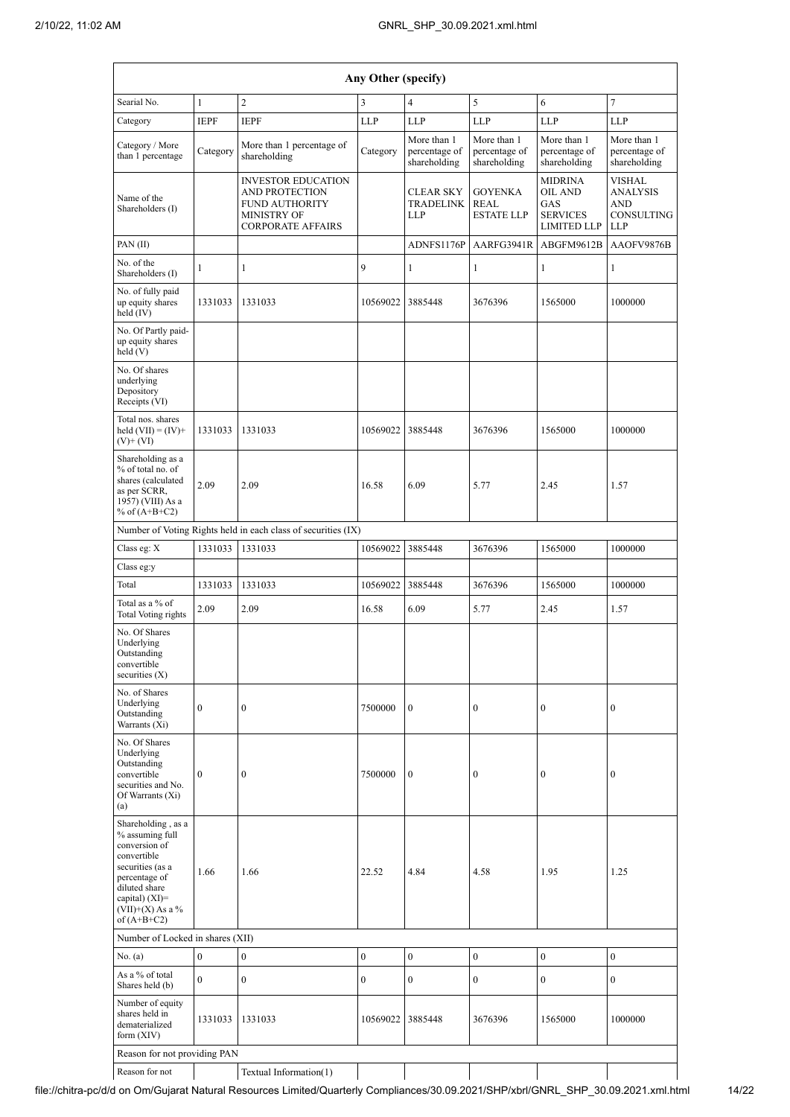|                                                                                                                                                                                        | Any Other (specify) |                                                                                                                               |                  |                                              |                                                    |                                                                           |                                                                            |  |  |  |  |  |
|----------------------------------------------------------------------------------------------------------------------------------------------------------------------------------------|---------------------|-------------------------------------------------------------------------------------------------------------------------------|------------------|----------------------------------------------|----------------------------------------------------|---------------------------------------------------------------------------|----------------------------------------------------------------------------|--|--|--|--|--|
| Searial No.                                                                                                                                                                            | $\mathbf{1}$        | $\overline{2}$                                                                                                                | 3                | 4                                            | 5                                                  | 6                                                                         | 7                                                                          |  |  |  |  |  |
| Category                                                                                                                                                                               | <b>IEPF</b>         | <b>IEPF</b>                                                                                                                   | <b>LLP</b>       | <b>LLP</b>                                   | <b>LLP</b>                                         | <b>LLP</b>                                                                | <b>LLP</b>                                                                 |  |  |  |  |  |
| Category / More<br>than 1 percentage                                                                                                                                                   | Category            | More than 1 percentage of<br>shareholding                                                                                     | Category         | More than 1<br>percentage of<br>shareholding | More than 1<br>percentage of<br>shareholding       | More than 1<br>percentage of<br>shareholding                              | More than 1<br>percentage of<br>shareholding                               |  |  |  |  |  |
| Name of the<br>Shareholders (I)                                                                                                                                                        |                     | <b>INVESTOR EDUCATION</b><br><b>AND PROTECTION</b><br><b>FUND AUTHORITY</b><br><b>MINISTRY OF</b><br><b>CORPORATE AFFAIRS</b> |                  | <b>CLEAR SKY</b><br>TRADELINK<br><b>LLP</b>  | <b>GOYENKA</b><br><b>REAL</b><br><b>ESTATE LLP</b> | <b>MIDRINA</b><br>OIL AND<br>GAS<br><b>SERVICES</b><br><b>LIMITED LLP</b> | <b>VISHAL</b><br><b>ANALYSIS</b><br><b>AND</b><br>CONSULTING<br><b>LLP</b> |  |  |  |  |  |
| PAN(II)                                                                                                                                                                                |                     |                                                                                                                               |                  | ADNFS1176P                                   | AARFG3941R                                         | ABGFM9612B                                                                | AAOFV9876B                                                                 |  |  |  |  |  |
| No. of the<br>Shareholders (I)                                                                                                                                                         | $\mathbf{1}$        | 1                                                                                                                             | 9                | $\mathbf{1}$                                 | $\mathbf{1}$                                       | $\mathbf{1}$                                                              | $\mathbf{1}$                                                               |  |  |  |  |  |
| No. of fully paid<br>up equity shares<br>held (IV)                                                                                                                                     | 1331033             | 1331033                                                                                                                       | 10569022         | 3885448                                      | 3676396                                            | 1565000                                                                   | 1000000                                                                    |  |  |  |  |  |
| No. Of Partly paid-<br>up equity shares<br>held (V)                                                                                                                                    |                     |                                                                                                                               |                  |                                              |                                                    |                                                                           |                                                                            |  |  |  |  |  |
| No. Of shares<br>underlying<br>Depository<br>Receipts (VI)                                                                                                                             |                     |                                                                                                                               |                  |                                              |                                                    |                                                                           |                                                                            |  |  |  |  |  |
| Total nos. shares<br>held $(VII) = (IV) +$<br>$(V)$ + $(VI)$                                                                                                                           | 1331033             | 1331033                                                                                                                       | 10569022         | 3885448                                      | 3676396                                            | 1565000                                                                   | 1000000                                                                    |  |  |  |  |  |
| Shareholding as a<br>% of total no. of<br>shares (calculated<br>as per SCRR,<br>1957) (VIII) As a<br>% of $(A+B+C2)$                                                                   | 2.09                | 2.09                                                                                                                          | 16.58            | 6.09                                         | 5.77                                               | 2.45                                                                      | 1.57                                                                       |  |  |  |  |  |
|                                                                                                                                                                                        |                     | Number of Voting Rights held in each class of securities (IX)                                                                 |                  |                                              |                                                    |                                                                           |                                                                            |  |  |  |  |  |
| Class eg: X                                                                                                                                                                            | 1331033             | 1331033                                                                                                                       | 10569022         | 3885448                                      | 3676396                                            | 1565000                                                                   | 1000000                                                                    |  |  |  |  |  |
| Class eg:y                                                                                                                                                                             |                     |                                                                                                                               |                  |                                              |                                                    |                                                                           |                                                                            |  |  |  |  |  |
| Total                                                                                                                                                                                  | 1331033             | 1331033                                                                                                                       | 10569022         | 3885448                                      | 3676396                                            | 1565000                                                                   | 1000000                                                                    |  |  |  |  |  |
| Total as a % of<br><b>Total Voting rights</b>                                                                                                                                          | 2.09                | 2.09                                                                                                                          | 16.58            | 6.09                                         | 5.77                                               | 2.45                                                                      | 1.57                                                                       |  |  |  |  |  |
| No. Of Shares<br>Underlying<br>Outstanding<br>convertible<br>securities (X)                                                                                                            |                     |                                                                                                                               |                  |                                              |                                                    |                                                                           |                                                                            |  |  |  |  |  |
| No. of Shares<br>Underlying<br>Outstanding<br>Warrants (Xi)                                                                                                                            | $\mathbf{0}$        | $\boldsymbol{0}$                                                                                                              | 7500000          | $\overline{0}$                               | $\mathbf{0}$                                       | $\boldsymbol{0}$                                                          | $\mathbf{0}$                                                               |  |  |  |  |  |
| No. Of Shares<br>Underlying<br>Outstanding<br>convertible<br>securities and No.<br>Of Warrants (Xi)<br>(a)                                                                             | $\mathbf{0}$        | $\mathbf{0}$                                                                                                                  | 7500000          | $\boldsymbol{0}$                             | $\bf{0}$                                           | $\boldsymbol{0}$                                                          | $\mathbf{0}$                                                               |  |  |  |  |  |
| Shareholding, as a<br>% assuming full<br>conversion of<br>convertible<br>securities (as a<br>percentage of<br>diluted share<br>capital) $(XI)=$<br>$(VII)+(X)$ As a %<br>of $(A+B+C2)$ | 1.66                | 1.66                                                                                                                          | 22.52            | 4.84                                         | 4.58                                               | 1.95                                                                      | 1.25                                                                       |  |  |  |  |  |
| Number of Locked in shares (XII)                                                                                                                                                       |                     |                                                                                                                               |                  |                                              |                                                    |                                                                           |                                                                            |  |  |  |  |  |
| No. (a)                                                                                                                                                                                | $\boldsymbol{0}$    | $\boldsymbol{0}$                                                                                                              | $\boldsymbol{0}$ | $\boldsymbol{0}$                             | $\boldsymbol{0}$                                   | $\boldsymbol{0}$                                                          | $\boldsymbol{0}$                                                           |  |  |  |  |  |
| As a % of total<br>Shares held (b)                                                                                                                                                     | $\overline{0}$      | $\boldsymbol{0}$                                                                                                              | $\boldsymbol{0}$ | $\boldsymbol{0}$                             | $\mathbf{0}$                                       | $\boldsymbol{0}$                                                          | $\mathbf{0}$                                                               |  |  |  |  |  |
| Number of equity<br>shares held in<br>dematerialized<br>form (XIV)                                                                                                                     | 1331033             | 1331033                                                                                                                       | 10569022         | 3885448                                      | 3676396                                            | 1565000                                                                   | 1000000                                                                    |  |  |  |  |  |
| Reason for not providing PAN                                                                                                                                                           |                     |                                                                                                                               |                  |                                              |                                                    |                                                                           |                                                                            |  |  |  |  |  |
| Reason for not                                                                                                                                                                         |                     | Textual Information(1)                                                                                                        |                  |                                              |                                                    |                                                                           |                                                                            |  |  |  |  |  |

file://chitra-pc/d/d on Om/Gujarat Natural Resources Limited/Quarterly Compliances/30.09.2021/SHP/xbrl/GNRL\_SHP\_30.09.2021.xml.html 14/22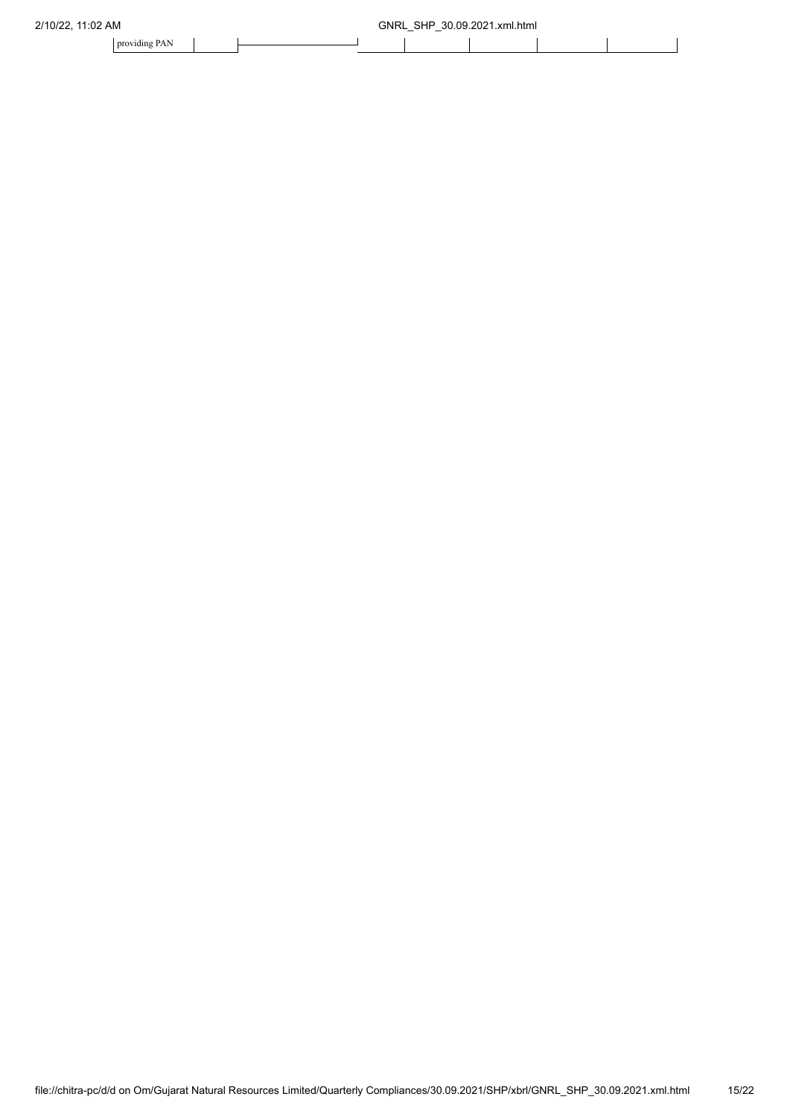| 2/10/22.<br>11:02 AM | 30.09.2021.xml.html<br>SHP<br>GNRL<br>- |  |  |  |  |  |  |  |
|----------------------|-----------------------------------------|--|--|--|--|--|--|--|
| providing PAN        |                                         |  |  |  |  |  |  |  |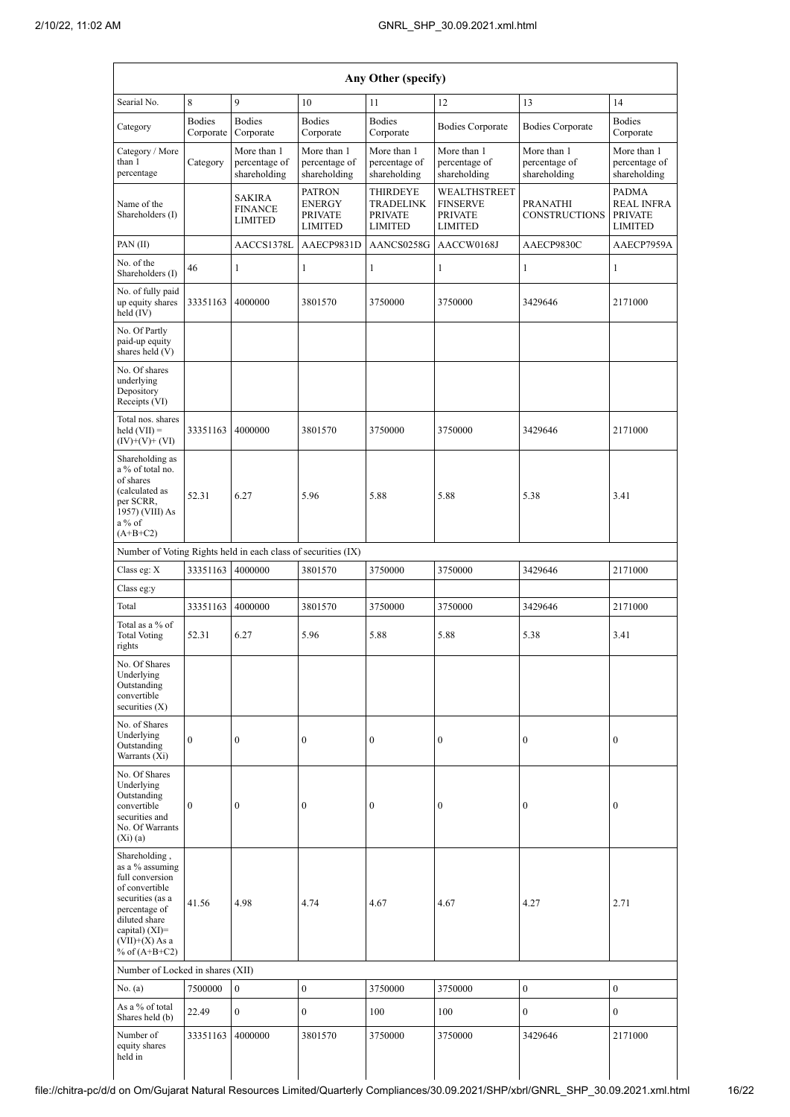|                                                                                                                                                                                        | Any Other (specify)        |                                              |                                                                    |                                                                         |                                                                     |                                              |                                                                       |  |  |  |  |
|----------------------------------------------------------------------------------------------------------------------------------------------------------------------------------------|----------------------------|----------------------------------------------|--------------------------------------------------------------------|-------------------------------------------------------------------------|---------------------------------------------------------------------|----------------------------------------------|-----------------------------------------------------------------------|--|--|--|--|
| Searial No.                                                                                                                                                                            | $\,8\,$                    | 9                                            | 10                                                                 | 11                                                                      | 12                                                                  | 13                                           | 14                                                                    |  |  |  |  |
| Category                                                                                                                                                                               | <b>Bodies</b><br>Corporate | <b>Bodies</b><br>Corporate                   | <b>Bodies</b><br>Corporate                                         | <b>Bodies</b><br>Corporate                                              | <b>Bodies Corporate</b>                                             | <b>Bodies Corporate</b>                      | <b>Bodies</b><br>Corporate                                            |  |  |  |  |
| Category / More<br>than 1<br>percentage                                                                                                                                                | Category                   | More than 1<br>percentage of<br>shareholding | More than 1<br>percentage of<br>shareholding                       | More than 1<br>percentage of<br>shareholding                            | More than 1<br>percentage of<br>shareholding                        | More than 1<br>percentage of<br>shareholding | More than 1<br>percentage of<br>shareholding                          |  |  |  |  |
| Name of the<br>Shareholders (I)                                                                                                                                                        |                            | <b>SAKIRA</b><br><b>FINANCE</b><br>LIMITED   | <b>PATRON</b><br><b>ENERGY</b><br><b>PRIVATE</b><br><b>LIMITED</b> | <b>THIRDEYE</b><br><b>TRADELINK</b><br><b>PRIVATE</b><br><b>LIMITED</b> | WEALTHSTREET<br><b>FINSERVE</b><br><b>PRIVATE</b><br><b>LIMITED</b> | PRANATHI<br><b>CONSTRUCTIONS</b>             | <b>PADMA</b><br><b>REAL INFRA</b><br><b>PRIVATE</b><br><b>LIMITED</b> |  |  |  |  |
| PAN(II)                                                                                                                                                                                |                            | AACCS1378L                                   | AAECP9831D                                                         | AANCS0258G                                                              | AACCW0168J                                                          | AAECP9830C                                   | AAECP7959A                                                            |  |  |  |  |
| No. of the<br>Shareholders (I)                                                                                                                                                         | 46                         | 1                                            | 1                                                                  | 1                                                                       | 1                                                                   | 1                                            | 1                                                                     |  |  |  |  |
| No. of fully paid<br>up equity shares<br>held (IV)                                                                                                                                     | 33351163                   | 4000000                                      | 3801570                                                            | 3750000                                                                 | 3750000                                                             | 3429646                                      | 2171000                                                               |  |  |  |  |
| No. Of Partly<br>paid-up equity<br>shares held (V)                                                                                                                                     |                            |                                              |                                                                    |                                                                         |                                                                     |                                              |                                                                       |  |  |  |  |
| No. Of shares<br>underlying<br>Depository<br>Receipts (VI)                                                                                                                             |                            |                                              |                                                                    |                                                                         |                                                                     |                                              |                                                                       |  |  |  |  |
| Total nos. shares<br>held $(VII) =$<br>$(IV)+(V)+(VI)$                                                                                                                                 | 33351163                   | 4000000                                      | 3801570                                                            | 3750000                                                                 | 3750000                                                             | 3429646                                      | 2171000                                                               |  |  |  |  |
| Shareholding as<br>a % of total no.<br>of shares<br>(calculated as<br>per SCRR,<br>1957) (VIII) As<br>a % of<br>$(A+B+C2)$                                                             | 52.31                      | 6.27                                         | 5.96                                                               | 5.88                                                                    | 5.88                                                                | 5.38                                         | 3.41                                                                  |  |  |  |  |
| Number of Voting Rights held in each class of securities (IX)                                                                                                                          |                            |                                              |                                                                    |                                                                         |                                                                     |                                              |                                                                       |  |  |  |  |
| Class eg: $X$                                                                                                                                                                          | 33351163                   | 4000000                                      | 3801570                                                            | 3750000                                                                 | 3750000                                                             | 3429646                                      | 2171000                                                               |  |  |  |  |
| Class eg:y                                                                                                                                                                             |                            |                                              |                                                                    |                                                                         |                                                                     |                                              |                                                                       |  |  |  |  |
| Total                                                                                                                                                                                  | 33351163                   | 4000000                                      | 3801570                                                            | 3750000                                                                 | 3750000                                                             | 3429646                                      | 2171000                                                               |  |  |  |  |
| Total as a % of<br><b>Total Voting</b><br>rights                                                                                                                                       | 52.31                      | 6.27                                         | 5.96                                                               | 5.88                                                                    | 5.88                                                                | 5.38                                         | 3.41                                                                  |  |  |  |  |
| No. Of Shares<br>Underlying<br>Outstanding<br>convertible<br>securities $(X)$                                                                                                          |                            |                                              |                                                                    |                                                                         |                                                                     |                                              |                                                                       |  |  |  |  |
| No. of Shares<br>Underlying<br>Outstanding<br>Warrants (Xi)                                                                                                                            | $\bf{0}$                   | $\mathbf{0}$                                 | $\boldsymbol{0}$                                                   | $\boldsymbol{0}$                                                        | $\boldsymbol{0}$                                                    | $\boldsymbol{0}$                             | $\boldsymbol{0}$                                                      |  |  |  |  |
| No. Of Shares<br>Underlying<br>Outstanding<br>convertible<br>securities and<br>No. Of Warrants<br>(Xi)(a)                                                                              | $\boldsymbol{0}$           | $\mathbf{0}$                                 | $\boldsymbol{0}$                                                   | $\mathbf{0}$                                                            | $\boldsymbol{0}$                                                    | $\boldsymbol{0}$                             | $\boldsymbol{0}$                                                      |  |  |  |  |
| Shareholding,<br>as a % assuming<br>full conversion<br>of convertible<br>securities (as a<br>percentage of<br>diluted share<br>capital) $(XI)=$<br>$(VII)+(X)$ As a<br>% of $(A+B+C2)$ | 41.56                      | 4.98                                         | 4.74                                                               | 4.67                                                                    | 4.67                                                                | 4.27                                         | 2.71                                                                  |  |  |  |  |
| Number of Locked in shares (XII)                                                                                                                                                       |                            |                                              |                                                                    |                                                                         |                                                                     |                                              |                                                                       |  |  |  |  |
| No. $(a)$                                                                                                                                                                              | 7500000                    | $\boldsymbol{0}$                             | $\boldsymbol{0}$                                                   | 3750000                                                                 | 3750000                                                             | $\boldsymbol{0}$                             | $\boldsymbol{0}$                                                      |  |  |  |  |
| As a % of total<br>Shares held (b)                                                                                                                                                     | 22.49                      | $\overline{0}$                               | $\overline{0}$                                                     | 100                                                                     | 100                                                                 | $\mathbf{0}$                                 | $\mathbf{0}$                                                          |  |  |  |  |
| Number of<br>equity shares<br>held in                                                                                                                                                  | 33351163                   | 4000000                                      | 3801570                                                            | 3750000                                                                 | 3750000                                                             | 3429646                                      | 2171000                                                               |  |  |  |  |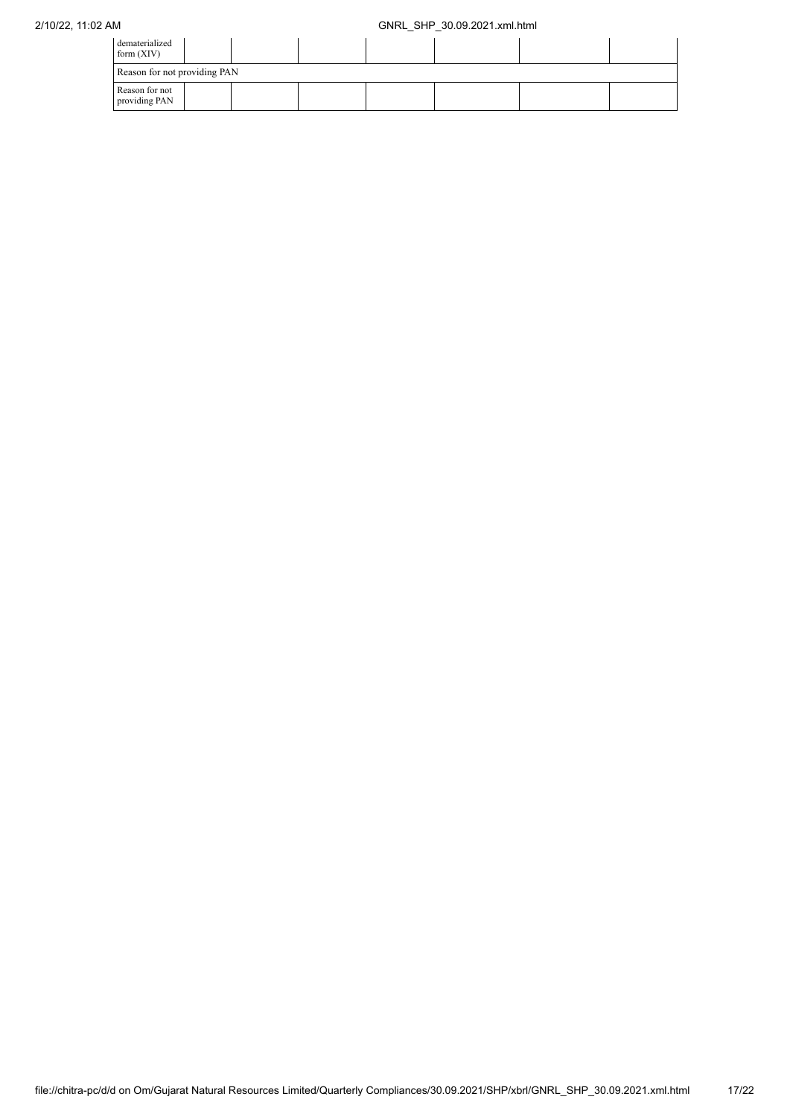| dematerialized<br>form $(XIV)$  |  |  |  |  |  |  |  |  |  |  |
|---------------------------------|--|--|--|--|--|--|--|--|--|--|
| Reason for not providing PAN    |  |  |  |  |  |  |  |  |  |  |
| Reason for not<br>providing PAN |  |  |  |  |  |  |  |  |  |  |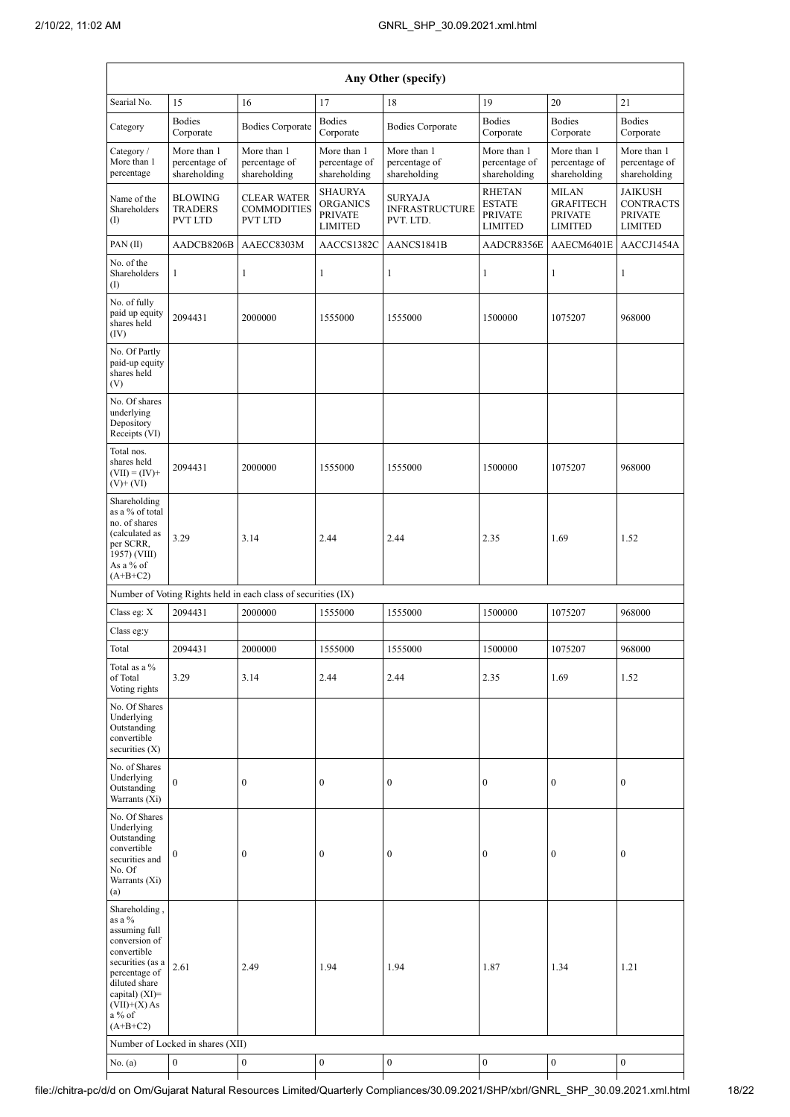| Any Other (specify)                                                                                                                                                                            |                                              |                                                               |                                                                       |                                                      |                                                                    |                                                                      |                                                                        |  |  |  |  |
|------------------------------------------------------------------------------------------------------------------------------------------------------------------------------------------------|----------------------------------------------|---------------------------------------------------------------|-----------------------------------------------------------------------|------------------------------------------------------|--------------------------------------------------------------------|----------------------------------------------------------------------|------------------------------------------------------------------------|--|--|--|--|
| Searial No.                                                                                                                                                                                    | 15                                           | 16                                                            | 17                                                                    | 18                                                   | 19                                                                 | 20                                                                   | 21                                                                     |  |  |  |  |
| Category                                                                                                                                                                                       | <b>Bodies</b><br>Corporate                   | <b>Bodies Corporate</b>                                       | <b>Bodies</b><br>Corporate                                            | <b>Bodies Corporate</b>                              | <b>Bodies</b><br>Corporate                                         | <b>Bodies</b><br>Corporate                                           | <b>Bodies</b><br>Corporate                                             |  |  |  |  |
| Category /<br>More than 1<br>percentage                                                                                                                                                        | More than 1<br>percentage of<br>shareholding | More than 1<br>percentage of<br>shareholding                  | More than 1<br>percentage of<br>shareholding                          | More than 1<br>percentage of<br>shareholding         | More than 1<br>percentage of<br>shareholding                       | More than 1<br>percentage of<br>shareholding                         | More than 1<br>percentage of<br>shareholding                           |  |  |  |  |
| Name of the<br>Shareholders<br>(1)                                                                                                                                                             | <b>BLOWING</b><br>TRADERS<br>PVT LTD         | <b>CLEAR WATER</b><br><b>COMMODITIES</b><br><b>PVT LTD</b>    | <b>SHAURYA</b><br><b>ORGANICS</b><br><b>PRIVATE</b><br><b>LIMITED</b> | <b>SURYAJA</b><br><b>INFRASTRUCTURE</b><br>PVT. LTD. | <b>RHETAN</b><br><b>ESTATE</b><br><b>PRIVATE</b><br><b>LIMITED</b> | <b>MILAN</b><br><b>GRAFITECH</b><br><b>PRIVATE</b><br><b>LIMITED</b> | <b>JAIKUSH</b><br><b>CONTRACTS</b><br><b>PRIVATE</b><br><b>LIMITED</b> |  |  |  |  |
| $PAN$ (II)                                                                                                                                                                                     | AADCB8206B                                   | AAECC8303M                                                    | AACCS1382C                                                            | AANCS1841B                                           | AADCR8356E                                                         | AAECM6401E                                                           | AACCJ1454A                                                             |  |  |  |  |
| No. of the<br>Shareholders<br>$\left( \mathrm{I}\right)$                                                                                                                                       | $\mathbf{1}$                                 | 1                                                             | $\mathbf{1}$                                                          | $\mathbf{1}$                                         | 1                                                                  | $\mathbf{1}$                                                         | $\mathbf{1}$                                                           |  |  |  |  |
| No. of fully<br>paid up equity<br>shares held<br>(IV)                                                                                                                                          | 2094431                                      | 2000000                                                       | 1555000                                                               | 1555000                                              | 1500000                                                            | 1075207                                                              | 968000                                                                 |  |  |  |  |
| No. Of Partly<br>paid-up equity<br>shares held<br>(V)                                                                                                                                          |                                              |                                                               |                                                                       |                                                      |                                                                    |                                                                      |                                                                        |  |  |  |  |
| No. Of shares<br>underlying<br>Depository<br>Receipts (VI)                                                                                                                                     |                                              |                                                               |                                                                       |                                                      |                                                                    |                                                                      |                                                                        |  |  |  |  |
| Total nos.<br>shares held<br>$(VII) = (IV) +$<br>$(V)+(VI)$                                                                                                                                    | 2094431                                      | 2000000                                                       | 1555000                                                               | 1555000                                              | 1500000                                                            | 1075207                                                              | 968000                                                                 |  |  |  |  |
| Shareholding<br>as a % of total<br>no. of shares<br>(calculated as<br>per SCRR,<br>1957) (VIII)<br>As a % of<br>$(A+B+C2)$                                                                     | 3.29                                         | 3.14                                                          | 2.44                                                                  | 2.44                                                 | 2.35                                                               | 1.69                                                                 | 1.52                                                                   |  |  |  |  |
|                                                                                                                                                                                                |                                              | Number of Voting Rights held in each class of securities (IX) |                                                                       |                                                      |                                                                    |                                                                      |                                                                        |  |  |  |  |
| Class eg: X                                                                                                                                                                                    | 2094431                                      | 2000000                                                       | 1555000                                                               | 1555000                                              | 1500000                                                            | 1075207                                                              | 968000                                                                 |  |  |  |  |
| Class eg:y                                                                                                                                                                                     |                                              |                                                               |                                                                       |                                                      |                                                                    |                                                                      |                                                                        |  |  |  |  |
| Total                                                                                                                                                                                          | 2094431                                      | 2000000                                                       | 1555000                                                               | 1555000                                              | 1500000                                                            | 1075207                                                              | 968000                                                                 |  |  |  |  |
| Total as a %<br>of Total<br>Voting rights                                                                                                                                                      | 3.29                                         | 3.14                                                          | 2.44                                                                  | 2.44                                                 | 2.35                                                               | 1.69                                                                 | 1.52                                                                   |  |  |  |  |
| No. Of Shares<br>Underlying<br>Outstanding<br>convertible<br>securities $(X)$                                                                                                                  |                                              |                                                               |                                                                       |                                                      |                                                                    |                                                                      |                                                                        |  |  |  |  |
| No. of Shares<br>Underlying<br>Outstanding<br>Warrants (Xi)                                                                                                                                    | $\mathbf{0}$                                 | $\boldsymbol{0}$                                              | $\boldsymbol{0}$                                                      | $\boldsymbol{0}$                                     | $\boldsymbol{0}$                                                   | $\boldsymbol{0}$                                                     | $\boldsymbol{0}$                                                       |  |  |  |  |
| No. Of Shares<br>Underlying<br>Outstanding<br>convertible<br>securities and<br>No. Of<br>Warrants (Xi)<br>(a)                                                                                  | $\boldsymbol{0}$                             | $\boldsymbol{0}$                                              | $\boldsymbol{0}$                                                      | $\boldsymbol{0}$                                     | $\boldsymbol{0}$                                                   | $\boldsymbol{0}$                                                     | $\boldsymbol{0}$                                                       |  |  |  |  |
| Shareholding,<br>as a %<br>assuming full<br>conversion of<br>convertible<br>securities (as a<br>percentage of<br>diluted share<br>capital) $(XI)=$<br>$(VII)+(X)$ As<br>$a\%$ of<br>$(A+B+C2)$ | 2.61<br>Number of Locked in shares (XII)     | 2.49                                                          | 1.94                                                                  | 1.94                                                 | 1.87                                                               | 1.34                                                                 | 1.21                                                                   |  |  |  |  |
| No. (a)                                                                                                                                                                                        | $\boldsymbol{0}$                             | $\boldsymbol{0}$                                              | $\boldsymbol{0}$                                                      | $\boldsymbol{0}$                                     | $\boldsymbol{0}$                                                   | $\boldsymbol{0}$                                                     | $\boldsymbol{0}$                                                       |  |  |  |  |

┑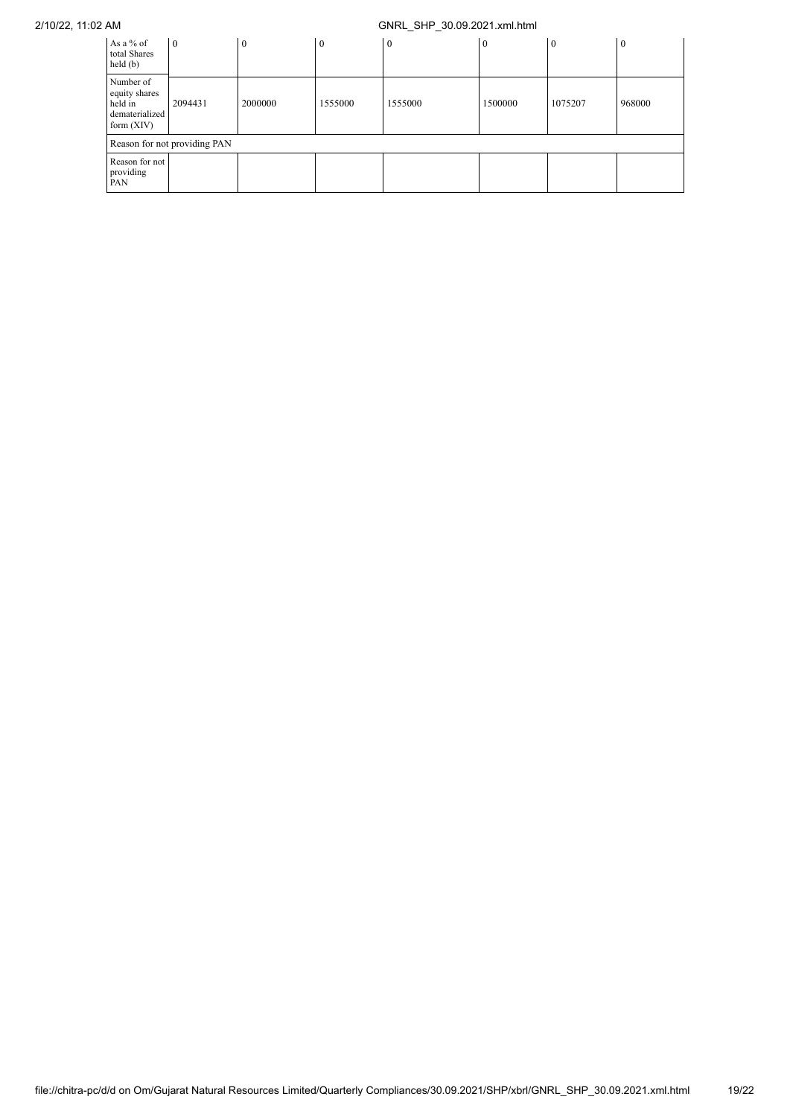| As a % of<br>total Shares<br>held(b)                                    | $\overline{0}$               | $\mathbf{0}$ | $\mathbf{0}$ | $\boldsymbol{0}$ | $\theta$ | l 0     | $\overline{0}$ |  |  |  |  |  |
|-------------------------------------------------------------------------|------------------------------|--------------|--------------|------------------|----------|---------|----------------|--|--|--|--|--|
| Number of<br>equity shares<br>held in<br>dematerialized<br>form $(XIV)$ | 2094431                      | 2000000      | 1555000      | 1555000          | 1500000  | 1075207 | 968000         |  |  |  |  |  |
|                                                                         | Reason for not providing PAN |              |              |                  |          |         |                |  |  |  |  |  |
| Reason for not<br>providing<br>PAN                                      |                              |              |              |                  |          |         |                |  |  |  |  |  |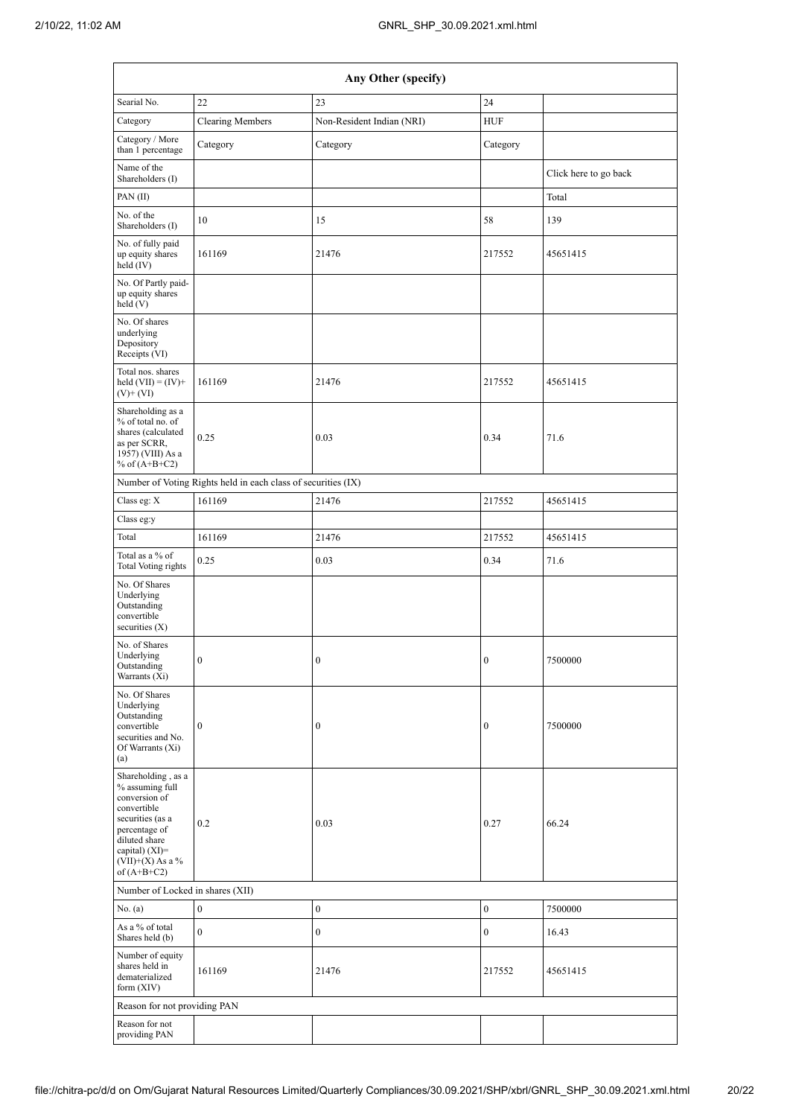|                                                                                                                                                                                      | Any Other (specify)                                           |                           |                  |                       |  |  |  |  |  |  |  |  |
|--------------------------------------------------------------------------------------------------------------------------------------------------------------------------------------|---------------------------------------------------------------|---------------------------|------------------|-----------------------|--|--|--|--|--|--|--|--|
| Searial No.                                                                                                                                                                          | 22                                                            | 23                        | 24               |                       |  |  |  |  |  |  |  |  |
| Category                                                                                                                                                                             | <b>Clearing Members</b>                                       | Non-Resident Indian (NRI) | <b>HUF</b>       |                       |  |  |  |  |  |  |  |  |
| Category / More<br>than 1 percentage                                                                                                                                                 | Category                                                      | Category                  | Category         |                       |  |  |  |  |  |  |  |  |
| Name of the<br>Shareholders (I)                                                                                                                                                      |                                                               |                           |                  | Click here to go back |  |  |  |  |  |  |  |  |
| PAN(II)                                                                                                                                                                              |                                                               |                           |                  | Total                 |  |  |  |  |  |  |  |  |
| No. of the<br>Shareholders (I)                                                                                                                                                       | 10                                                            | 15                        | 58               | 139                   |  |  |  |  |  |  |  |  |
| No. of fully paid<br>up equity shares<br>held (IV)                                                                                                                                   | 161169                                                        | 21476                     | 217552           | 45651415              |  |  |  |  |  |  |  |  |
| No. Of Partly paid-<br>up equity shares<br>held(V)                                                                                                                                   |                                                               |                           |                  |                       |  |  |  |  |  |  |  |  |
| No. Of shares<br>underlying<br>Depository<br>Receipts (VI)                                                                                                                           |                                                               |                           |                  |                       |  |  |  |  |  |  |  |  |
| Total nos. shares<br>held $(VII) = (IV) +$<br>$(V)$ + $(VI)$                                                                                                                         | 161169                                                        | 21476                     | 217552           | 45651415              |  |  |  |  |  |  |  |  |
| Shareholding as a<br>% of total no. of<br>shares (calculated<br>as per SCRR,<br>1957) (VIII) As a<br>% of $(A+B+C2)$                                                                 | 0.25                                                          | 0.03                      | 0.34             | 71.6                  |  |  |  |  |  |  |  |  |
|                                                                                                                                                                                      | Number of Voting Rights held in each class of securities (IX) |                           |                  |                       |  |  |  |  |  |  |  |  |
| Class eg: X                                                                                                                                                                          | 161169                                                        | 21476                     | 217552           | 45651415              |  |  |  |  |  |  |  |  |
| Class eg:y                                                                                                                                                                           |                                                               |                           |                  |                       |  |  |  |  |  |  |  |  |
| Total                                                                                                                                                                                | 161169                                                        | 21476                     | 217552           | 45651415              |  |  |  |  |  |  |  |  |
| Total as a % of<br><b>Total Voting rights</b>                                                                                                                                        | 0.25                                                          | 0.03                      | 0.34             | 71.6                  |  |  |  |  |  |  |  |  |
| No. Of Shares<br>Underlying<br>Outstanding<br>convertible<br>securities $(X)$                                                                                                        |                                                               |                           |                  |                       |  |  |  |  |  |  |  |  |
| No. of Shares<br>Underlying<br>Outstanding<br>Warrants (Xi)                                                                                                                          | $\boldsymbol{0}$                                              | $\boldsymbol{0}$          | $\boldsymbol{0}$ | 7500000               |  |  |  |  |  |  |  |  |
| No. Of Shares<br>Underlying<br>Outstanding<br>convertible<br>securities and No.<br>Of Warrants (Xi)<br>(a)                                                                           | $\mathbf{0}$                                                  | $\boldsymbol{0}$          | $\boldsymbol{0}$ | 7500000               |  |  |  |  |  |  |  |  |
| Shareholding, as a<br>% assuming full<br>conversion of<br>convertible<br>securities (as a<br>percentage of<br>diluted share<br>capital) (XI)=<br>$(VII)+(X)$ As a %<br>of $(A+B+C2)$ | 0.2                                                           | 0.03                      | 0.27             | 66.24                 |  |  |  |  |  |  |  |  |
| Number of Locked in shares (XII)                                                                                                                                                     |                                                               |                           |                  |                       |  |  |  |  |  |  |  |  |
| No. (a)                                                                                                                                                                              | $\boldsymbol{0}$                                              | $\boldsymbol{0}$          | $\boldsymbol{0}$ | 7500000               |  |  |  |  |  |  |  |  |
| As a % of total<br>Shares held (b)                                                                                                                                                   | $\boldsymbol{0}$                                              | $\boldsymbol{0}$          | $\mathbf{0}$     | 16.43                 |  |  |  |  |  |  |  |  |
| Number of equity<br>shares held in<br>dematerialized<br>form $(XIV)$                                                                                                                 | 161169                                                        | 21476                     | 217552           | 45651415              |  |  |  |  |  |  |  |  |
| Reason for not providing PAN                                                                                                                                                         |                                                               |                           |                  |                       |  |  |  |  |  |  |  |  |
| Reason for not<br>providing PAN                                                                                                                                                      |                                                               |                           |                  |                       |  |  |  |  |  |  |  |  |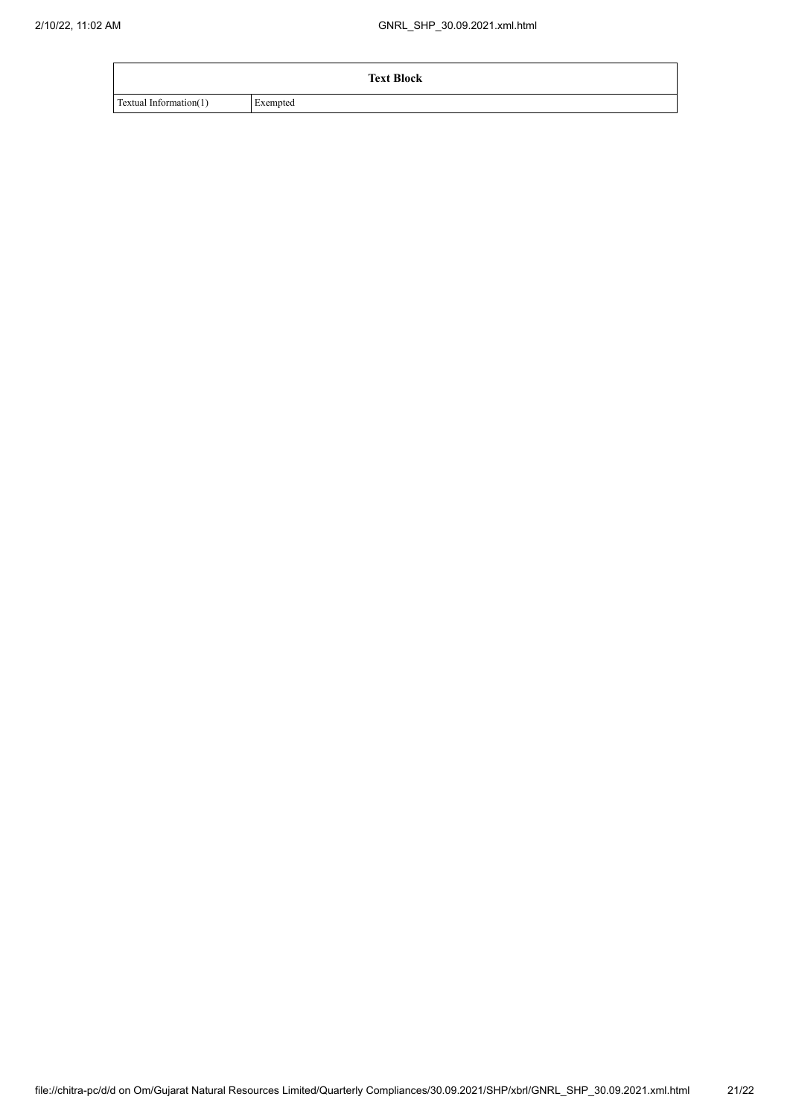|                        | <b>Text Block</b> |
|------------------------|-------------------|
| Textual Information(1) | Exempted          |